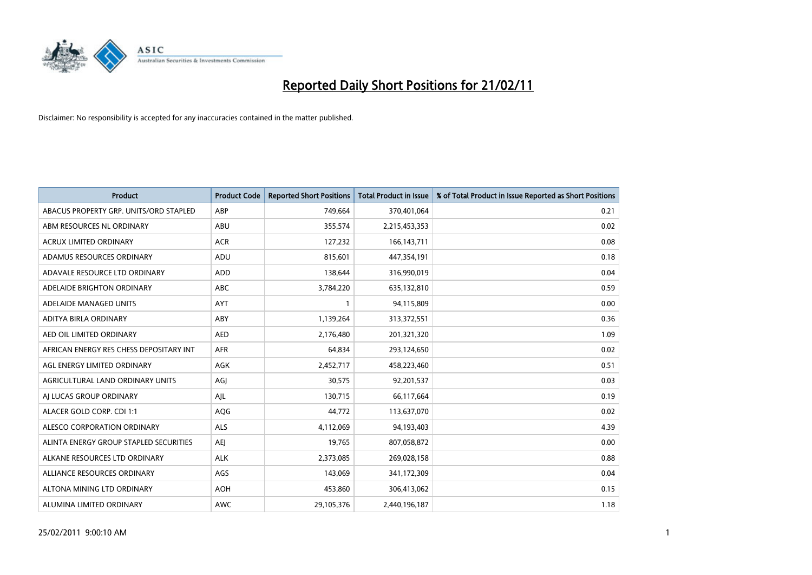

| Product                                 | <b>Product Code</b> | <b>Reported Short Positions</b> | <b>Total Product in Issue</b> | % of Total Product in Issue Reported as Short Positions |
|-----------------------------------------|---------------------|---------------------------------|-------------------------------|---------------------------------------------------------|
| ABACUS PROPERTY GRP. UNITS/ORD STAPLED  | ABP                 | 749,664                         | 370,401,064                   | 0.21                                                    |
| ABM RESOURCES NL ORDINARY               | ABU                 | 355,574                         | 2,215,453,353                 | 0.02                                                    |
| <b>ACRUX LIMITED ORDINARY</b>           | <b>ACR</b>          | 127,232                         | 166, 143, 711                 | 0.08                                                    |
| ADAMUS RESOURCES ORDINARY               | ADU                 | 815,601                         | 447,354,191                   | 0.18                                                    |
| ADAVALE RESOURCE LTD ORDINARY           | <b>ADD</b>          | 138,644                         | 316,990,019                   | 0.04                                                    |
| ADELAIDE BRIGHTON ORDINARY              | <b>ABC</b>          | 3,784,220                       | 635,132,810                   | 0.59                                                    |
| ADELAIDE MANAGED UNITS                  | <b>AYT</b>          |                                 | 94,115,809                    | 0.00                                                    |
| ADITYA BIRLA ORDINARY                   | ABY                 | 1,139,264                       | 313,372,551                   | 0.36                                                    |
| AED OIL LIMITED ORDINARY                | <b>AED</b>          | 2,176,480                       | 201,321,320                   | 1.09                                                    |
| AFRICAN ENERGY RES CHESS DEPOSITARY INT | <b>AFR</b>          | 64,834                          | 293,124,650                   | 0.02                                                    |
| AGL ENERGY LIMITED ORDINARY             | AGK                 | 2,452,717                       | 458,223,460                   | 0.51                                                    |
| AGRICULTURAL LAND ORDINARY UNITS        | AGJ                 | 30,575                          | 92,201,537                    | 0.03                                                    |
| AI LUCAS GROUP ORDINARY                 | AJL                 | 130,715                         | 66,117,664                    | 0.19                                                    |
| ALACER GOLD CORP. CDI 1:1               | AQG                 | 44,772                          | 113,637,070                   | 0.02                                                    |
| ALESCO CORPORATION ORDINARY             | <b>ALS</b>          | 4,112,069                       | 94,193,403                    | 4.39                                                    |
| ALINTA ENERGY GROUP STAPLED SECURITIES  | <b>AEI</b>          | 19,765                          | 807,058,872                   | 0.00                                                    |
| ALKANE RESOURCES LTD ORDINARY           | <b>ALK</b>          | 2,373,085                       | 269,028,158                   | 0.88                                                    |
| ALLIANCE RESOURCES ORDINARY             | AGS                 | 143,069                         | 341,172,309                   | 0.04                                                    |
| ALTONA MINING LTD ORDINARY              | <b>AOH</b>          | 453,860                         | 306,413,062                   | 0.15                                                    |
| ALUMINA LIMITED ORDINARY                | <b>AWC</b>          | 29,105,376                      | 2,440,196,187                 | 1.18                                                    |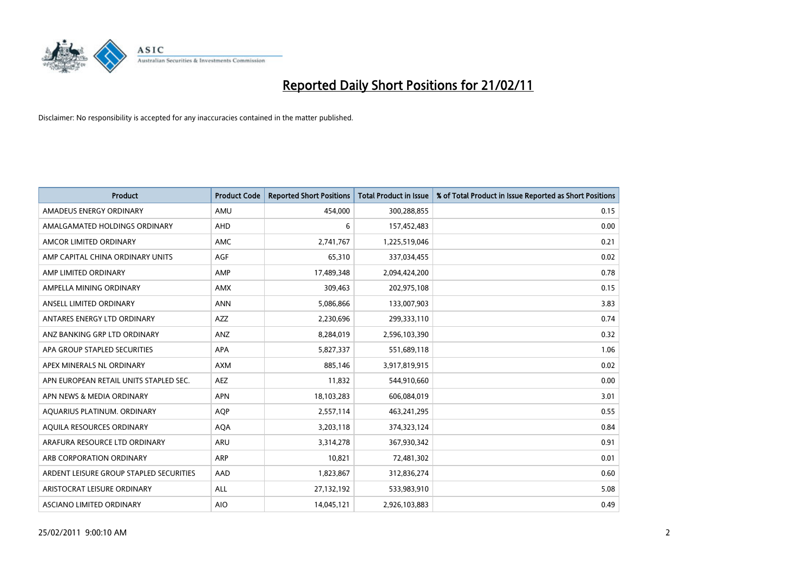

| <b>Product</b>                          | <b>Product Code</b> | <b>Reported Short Positions</b> | <b>Total Product in Issue</b> | % of Total Product in Issue Reported as Short Positions |
|-----------------------------------------|---------------------|---------------------------------|-------------------------------|---------------------------------------------------------|
| AMADEUS ENERGY ORDINARY                 | AMU                 | 454,000                         | 300,288,855                   | 0.15                                                    |
| AMALGAMATED HOLDINGS ORDINARY           | AHD                 | 6                               | 157,452,483                   | 0.00                                                    |
| AMCOR LIMITED ORDINARY                  | <b>AMC</b>          | 2,741,767                       | 1,225,519,046                 | 0.21                                                    |
| AMP CAPITAL CHINA ORDINARY UNITS        | AGF                 | 65,310                          | 337,034,455                   | 0.02                                                    |
| AMP LIMITED ORDINARY                    | AMP                 | 17,489,348                      | 2,094,424,200                 | 0.78                                                    |
| AMPELLA MINING ORDINARY                 | <b>AMX</b>          | 309,463                         | 202,975,108                   | 0.15                                                    |
| ANSELL LIMITED ORDINARY                 | <b>ANN</b>          | 5,086,866                       | 133,007,903                   | 3.83                                                    |
| ANTARES ENERGY LTD ORDINARY             | <b>AZZ</b>          | 2,230,696                       | 299,333,110                   | 0.74                                                    |
| ANZ BANKING GRP LTD ORDINARY            | ANZ                 | 8,284,019                       | 2,596,103,390                 | 0.32                                                    |
| APA GROUP STAPLED SECURITIES            | <b>APA</b>          | 5,827,337                       | 551,689,118                   | 1.06                                                    |
| APEX MINERALS NL ORDINARY               | <b>AXM</b>          | 885,146                         | 3,917,819,915                 | 0.02                                                    |
| APN EUROPEAN RETAIL UNITS STAPLED SEC.  | <b>AEZ</b>          | 11,832                          | 544,910,660                   | 0.00                                                    |
| APN NEWS & MEDIA ORDINARY               | <b>APN</b>          | 18,103,283                      | 606,084,019                   | 3.01                                                    |
| AQUARIUS PLATINUM. ORDINARY             | <b>AOP</b>          | 2,557,114                       | 463,241,295                   | 0.55                                                    |
| AQUILA RESOURCES ORDINARY               | <b>AQA</b>          | 3,203,118                       | 374,323,124                   | 0.84                                                    |
| ARAFURA RESOURCE LTD ORDINARY           | ARU                 | 3,314,278                       | 367,930,342                   | 0.91                                                    |
| ARB CORPORATION ORDINARY                | ARP                 | 10,821                          | 72,481,302                    | 0.01                                                    |
| ARDENT LEISURE GROUP STAPLED SECURITIES | AAD                 | 1,823,867                       | 312,836,274                   | 0.60                                                    |
| ARISTOCRAT LEISURE ORDINARY             | ALL                 | 27,132,192                      | 533,983,910                   | 5.08                                                    |
| ASCIANO LIMITED ORDINARY                | <b>AIO</b>          | 14,045,121                      | 2,926,103,883                 | 0.49                                                    |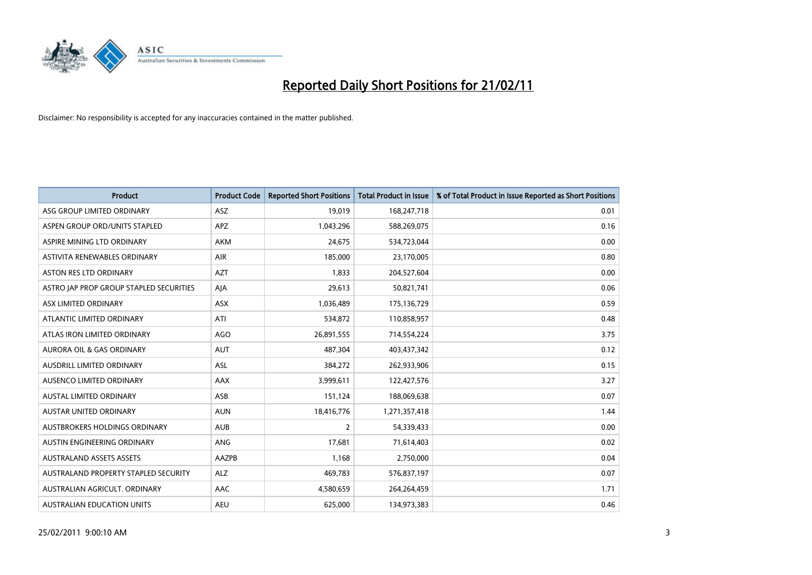

| <b>Product</b>                          | <b>Product Code</b> | <b>Reported Short Positions</b> | Total Product in Issue | % of Total Product in Issue Reported as Short Positions |
|-----------------------------------------|---------------------|---------------------------------|------------------------|---------------------------------------------------------|
| ASG GROUP LIMITED ORDINARY              | <b>ASZ</b>          | 19,019                          | 168,247,718            | 0.01                                                    |
| ASPEN GROUP ORD/UNITS STAPLED           | APZ                 | 1,043,296                       | 588,269,075            | 0.16                                                    |
| ASPIRE MINING LTD ORDINARY              | <b>AKM</b>          | 24,675                          | 534,723,044            | 0.00                                                    |
| ASTIVITA RENEWABLES ORDINARY            | <b>AIR</b>          | 185,000                         | 23,170,005             | 0.80                                                    |
| <b>ASTON RES LTD ORDINARY</b>           | <b>AZT</b>          | 1,833                           | 204,527,604            | 0.00                                                    |
| ASTRO JAP PROP GROUP STAPLED SECURITIES | AJA                 | 29,613                          | 50,821,741             | 0.06                                                    |
| ASX LIMITED ORDINARY                    | <b>ASX</b>          | 1,036,489                       | 175,136,729            | 0.59                                                    |
| ATLANTIC LIMITED ORDINARY               | ATI                 | 534,872                         | 110,858,957            | 0.48                                                    |
| ATLAS IRON LIMITED ORDINARY             | <b>AGO</b>          | 26,891,555                      | 714,554,224            | 3.75                                                    |
| <b>AURORA OIL &amp; GAS ORDINARY</b>    | <b>AUT</b>          | 487,304                         | 403,437,342            | 0.12                                                    |
| <b>AUSDRILL LIMITED ORDINARY</b>        | <b>ASL</b>          | 384,272                         | 262,933,906            | 0.15                                                    |
| AUSENCO LIMITED ORDINARY                | AAX                 | 3,999,611                       | 122,427,576            | 3.27                                                    |
| <b>AUSTAL LIMITED ORDINARY</b>          | ASB                 | 151,124                         | 188,069,638            | 0.07                                                    |
| <b>AUSTAR UNITED ORDINARY</b>           | <b>AUN</b>          | 18,416,776                      | 1,271,357,418          | 1.44                                                    |
| AUSTBROKERS HOLDINGS ORDINARY           | <b>AUB</b>          | 2                               | 54,339,433             | 0.00                                                    |
| AUSTIN ENGINEERING ORDINARY             | <b>ANG</b>          | 17,681                          | 71,614,403             | 0.02                                                    |
| <b>AUSTRALAND ASSETS ASSETS</b>         | AAZPB               | 1,168                           | 2,750,000              | 0.04                                                    |
| AUSTRALAND PROPERTY STAPLED SECURITY    | <b>ALZ</b>          | 469,783                         | 576,837,197            | 0.07                                                    |
| AUSTRALIAN AGRICULT, ORDINARY           | AAC                 | 4,580,659                       | 264,264,459            | 1.71                                                    |
| AUSTRALIAN EDUCATION UNITS              | <b>AEU</b>          | 625,000                         | 134,973,383            | 0.46                                                    |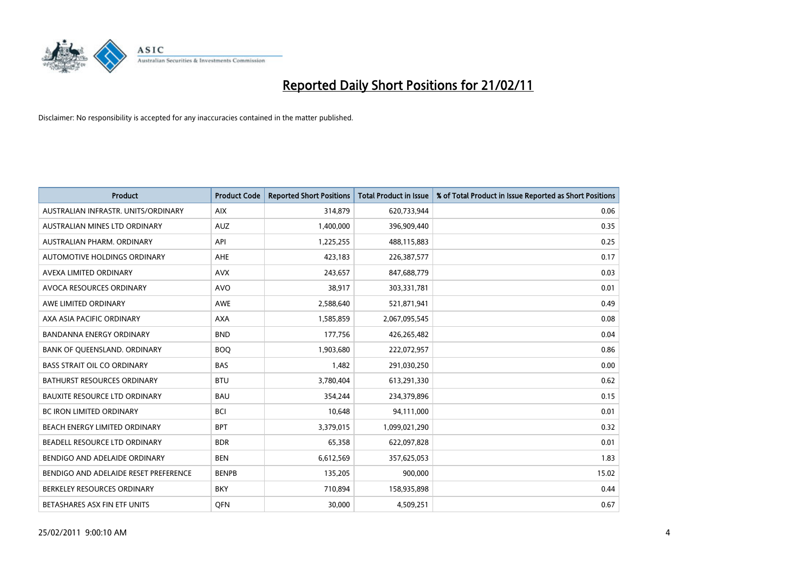

| <b>Product</b>                        | <b>Product Code</b> | <b>Reported Short Positions</b> | <b>Total Product in Issue</b> | % of Total Product in Issue Reported as Short Positions |
|---------------------------------------|---------------------|---------------------------------|-------------------------------|---------------------------------------------------------|
| AUSTRALIAN INFRASTR. UNITS/ORDINARY   | <b>AIX</b>          | 314,879                         | 620,733,944                   | 0.06                                                    |
| AUSTRALIAN MINES LTD ORDINARY         | <b>AUZ</b>          | 1,400,000                       | 396,909,440                   | 0.35                                                    |
| AUSTRALIAN PHARM, ORDINARY            | API                 | 1,225,255                       | 488,115,883                   | 0.25                                                    |
| AUTOMOTIVE HOLDINGS ORDINARY          | AHE                 | 423,183                         | 226,387,577                   | 0.17                                                    |
| AVEXA LIMITED ORDINARY                | <b>AVX</b>          | 243,657                         | 847,688,779                   | 0.03                                                    |
| AVOCA RESOURCES ORDINARY              | <b>AVO</b>          | 38,917                          | 303,331,781                   | 0.01                                                    |
| AWE LIMITED ORDINARY                  | <b>AWE</b>          | 2,588,640                       | 521,871,941                   | 0.49                                                    |
| AXA ASIA PACIFIC ORDINARY             | <b>AXA</b>          | 1,585,859                       | 2,067,095,545                 | 0.08                                                    |
| <b>BANDANNA ENERGY ORDINARY</b>       | <b>BND</b>          | 177,756                         | 426,265,482                   | 0.04                                                    |
| BANK OF OUEENSLAND, ORDINARY          | <b>BOO</b>          | 1,903,680                       | 222,072,957                   | 0.86                                                    |
| <b>BASS STRAIT OIL CO ORDINARY</b>    | <b>BAS</b>          | 1,482                           | 291,030,250                   | 0.00                                                    |
| BATHURST RESOURCES ORDINARY           | <b>BTU</b>          | 3,780,404                       | 613,291,330                   | 0.62                                                    |
| <b>BAUXITE RESOURCE LTD ORDINARY</b>  | <b>BAU</b>          | 354,244                         | 234,379,896                   | 0.15                                                    |
| <b>BC IRON LIMITED ORDINARY</b>       | <b>BCI</b>          | 10,648                          | 94,111,000                    | 0.01                                                    |
| <b>BEACH ENERGY LIMITED ORDINARY</b>  | <b>BPT</b>          | 3,379,015                       | 1,099,021,290                 | 0.32                                                    |
| BEADELL RESOURCE LTD ORDINARY         | <b>BDR</b>          | 65,358                          | 622,097,828                   | 0.01                                                    |
| BENDIGO AND ADELAIDE ORDINARY         | <b>BEN</b>          | 6,612,569                       | 357,625,053                   | 1.83                                                    |
| BENDIGO AND ADELAIDE RESET PREFERENCE | <b>BENPB</b>        | 135,205                         | 900,000                       | 15.02                                                   |
| BERKELEY RESOURCES ORDINARY           | <b>BKY</b>          | 710,894                         | 158,935,898                   | 0.44                                                    |
| BETASHARES ASX FIN ETF UNITS          | <b>OFN</b>          | 30,000                          | 4,509,251                     | 0.67                                                    |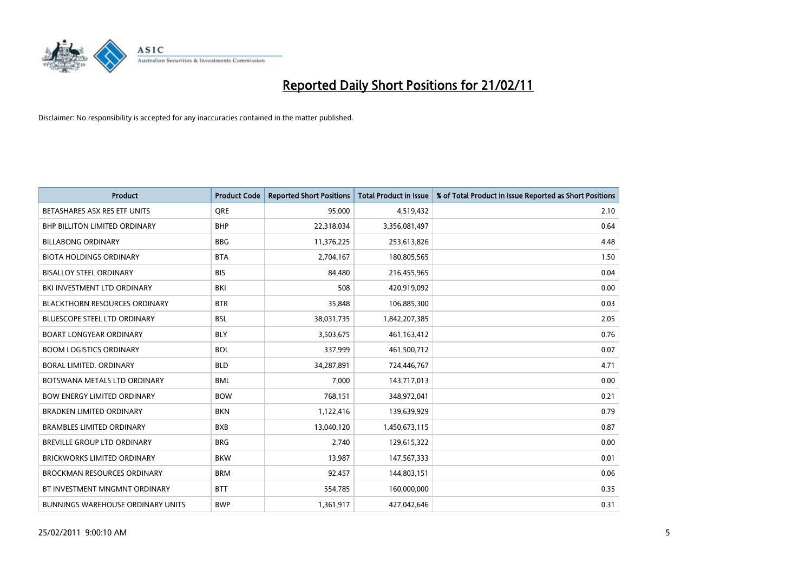

| <b>Product</b>                           | <b>Product Code</b> | <b>Reported Short Positions</b> | <b>Total Product in Issue</b> | % of Total Product in Issue Reported as Short Positions |
|------------------------------------------|---------------------|---------------------------------|-------------------------------|---------------------------------------------------------|
| BETASHARES ASX RES ETF UNITS             | <b>ORE</b>          | 95,000                          | 4,519,432                     | 2.10                                                    |
| <b>BHP BILLITON LIMITED ORDINARY</b>     | <b>BHP</b>          | 22,318,034                      | 3,356,081,497                 | 0.64                                                    |
| <b>BILLABONG ORDINARY</b>                | <b>BBG</b>          | 11,376,225                      | 253,613,826                   | 4.48                                                    |
| <b>BIOTA HOLDINGS ORDINARY</b>           | <b>BTA</b>          | 2,704,167                       | 180,805,565                   | 1.50                                                    |
| <b>BISALLOY STEEL ORDINARY</b>           | <b>BIS</b>          | 84.480                          | 216,455,965                   | 0.04                                                    |
| BKI INVESTMENT LTD ORDINARY              | <b>BKI</b>          | 508                             | 420,919,092                   | 0.00                                                    |
| <b>BLACKTHORN RESOURCES ORDINARY</b>     | <b>BTR</b>          | 35,848                          | 106,885,300                   | 0.03                                                    |
| <b>BLUESCOPE STEEL LTD ORDINARY</b>      | <b>BSL</b>          | 38,031,735                      | 1,842,207,385                 | 2.05                                                    |
| <b>BOART LONGYEAR ORDINARY</b>           | <b>BLY</b>          | 3,503,675                       | 461,163,412                   | 0.76                                                    |
| <b>BOOM LOGISTICS ORDINARY</b>           | <b>BOL</b>          | 337,999                         | 461,500,712                   | 0.07                                                    |
| BORAL LIMITED. ORDINARY                  | <b>BLD</b>          | 34,287,891                      | 724,446,767                   | 4.71                                                    |
| BOTSWANA METALS LTD ORDINARY             | <b>BML</b>          | 7,000                           | 143,717,013                   | 0.00                                                    |
| <b>BOW ENERGY LIMITED ORDINARY</b>       | <b>BOW</b>          | 768,151                         | 348,972,041                   | 0.21                                                    |
| <b>BRADKEN LIMITED ORDINARY</b>          | <b>BKN</b>          | 1,122,416                       | 139,639,929                   | 0.79                                                    |
| <b>BRAMBLES LIMITED ORDINARY</b>         | <b>BXB</b>          | 13,040,120                      | 1,450,673,115                 | 0.87                                                    |
| <b>BREVILLE GROUP LTD ORDINARY</b>       | <b>BRG</b>          | 2,740                           | 129,615,322                   | 0.00                                                    |
| <b>BRICKWORKS LIMITED ORDINARY</b>       | <b>BKW</b>          | 13,987                          | 147,567,333                   | 0.01                                                    |
| <b>BROCKMAN RESOURCES ORDINARY</b>       | <b>BRM</b>          | 92,457                          | 144,803,151                   | 0.06                                                    |
| BT INVESTMENT MNGMNT ORDINARY            | <b>BTT</b>          | 554,785                         | 160,000,000                   | 0.35                                                    |
| <b>BUNNINGS WAREHOUSE ORDINARY UNITS</b> | <b>BWP</b>          | 1,361,917                       | 427,042,646                   | 0.31                                                    |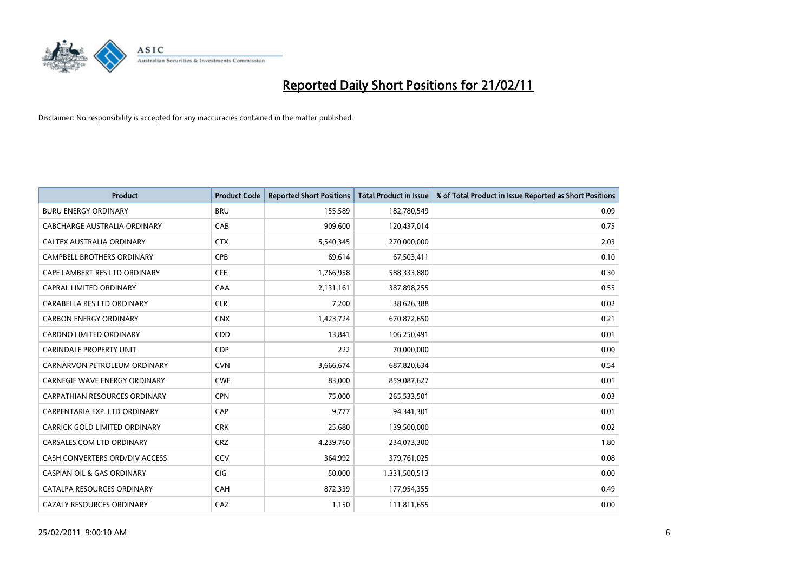

| <b>Product</b>                        | <b>Product Code</b> | <b>Reported Short Positions</b> | <b>Total Product in Issue</b> | % of Total Product in Issue Reported as Short Positions |
|---------------------------------------|---------------------|---------------------------------|-------------------------------|---------------------------------------------------------|
| <b>BURU ENERGY ORDINARY</b>           | <b>BRU</b>          | 155,589                         | 182,780,549                   | 0.09                                                    |
| CABCHARGE AUSTRALIA ORDINARY          | CAB                 | 909,600                         | 120,437,014                   | 0.75                                                    |
| CALTEX AUSTRALIA ORDINARY             | <b>CTX</b>          | 5,540,345                       | 270,000,000                   | 2.03                                                    |
| CAMPBELL BROTHERS ORDINARY            | <b>CPB</b>          | 69,614                          | 67,503,411                    | 0.10                                                    |
| CAPE LAMBERT RES LTD ORDINARY         | <b>CFE</b>          | 1,766,958                       | 588,333,880                   | 0.30                                                    |
| CAPRAL LIMITED ORDINARY               | CAA                 | 2,131,161                       | 387,898,255                   | 0.55                                                    |
| CARABELLA RES LTD ORDINARY            | <b>CLR</b>          | 7,200                           | 38,626,388                    | 0.02                                                    |
| <b>CARBON ENERGY ORDINARY</b>         | <b>CNX</b>          | 1,423,724                       | 670,872,650                   | 0.21                                                    |
| CARDNO LIMITED ORDINARY               | CDD                 | 13,841                          | 106,250,491                   | 0.01                                                    |
| <b>CARINDALE PROPERTY UNIT</b>        | <b>CDP</b>          | 222                             | 70,000,000                    | 0.00                                                    |
| CARNARVON PETROLEUM ORDINARY          | <b>CVN</b>          | 3,666,674                       | 687,820,634                   | 0.54                                                    |
| <b>CARNEGIE WAVE ENERGY ORDINARY</b>  | <b>CWE</b>          | 83,000                          | 859,087,627                   | 0.01                                                    |
| <b>CARPATHIAN RESOURCES ORDINARY</b>  | <b>CPN</b>          | 75,000                          | 265,533,501                   | 0.03                                                    |
| CARPENTARIA EXP. LTD ORDINARY         | CAP                 | 9,777                           | 94,341,301                    | 0.01                                                    |
| CARRICK GOLD LIMITED ORDINARY         | <b>CRK</b>          | 25,680                          | 139,500,000                   | 0.02                                                    |
| CARSALES.COM LTD ORDINARY             | <b>CRZ</b>          | 4,239,760                       | 234,073,300                   | 1.80                                                    |
| CASH CONVERTERS ORD/DIV ACCESS        | CCV                 | 364,992                         | 379,761,025                   | 0.08                                                    |
| <b>CASPIAN OIL &amp; GAS ORDINARY</b> | <b>CIG</b>          | 50,000                          | 1,331,500,513                 | 0.00                                                    |
| CATALPA RESOURCES ORDINARY            | CAH                 | 872,339                         | 177,954,355                   | 0.49                                                    |
| <b>CAZALY RESOURCES ORDINARY</b>      | CAZ                 | 1,150                           | 111,811,655                   | 0.00                                                    |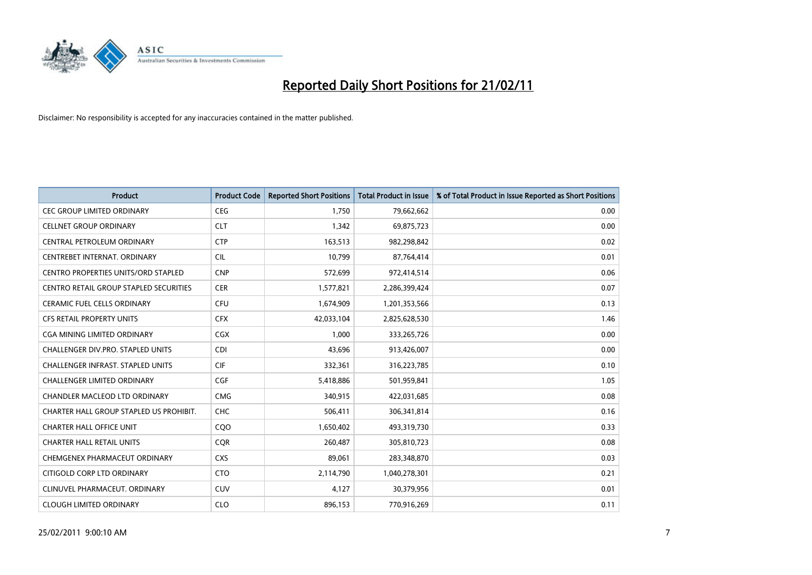

| <b>Product</b>                                | <b>Product Code</b> | <b>Reported Short Positions</b> | <b>Total Product in Issue</b> | % of Total Product in Issue Reported as Short Positions |
|-----------------------------------------------|---------------------|---------------------------------|-------------------------------|---------------------------------------------------------|
| <b>CEC GROUP LIMITED ORDINARY</b>             | <b>CEG</b>          | 1,750                           | 79,662,662                    | 0.00                                                    |
| <b>CELLNET GROUP ORDINARY</b>                 | <b>CLT</b>          | 1,342                           | 69,875,723                    | 0.00                                                    |
| CENTRAL PETROLEUM ORDINARY                    | <b>CTP</b>          | 163,513                         | 982,298,842                   | 0.02                                                    |
| CENTREBET INTERNAT, ORDINARY                  | <b>CIL</b>          | 10,799                          | 87,764,414                    | 0.01                                                    |
| <b>CENTRO PROPERTIES UNITS/ORD STAPLED</b>    | <b>CNP</b>          | 572,699                         | 972,414,514                   | 0.06                                                    |
| <b>CENTRO RETAIL GROUP STAPLED SECURITIES</b> | <b>CER</b>          | 1,577,821                       | 2,286,399,424                 | 0.07                                                    |
| CERAMIC FUEL CELLS ORDINARY                   | <b>CFU</b>          | 1,674,909                       | 1,201,353,566                 | 0.13                                                    |
| CFS RETAIL PROPERTY UNITS                     | <b>CFX</b>          | 42,033,104                      | 2,825,628,530                 | 1.46                                                    |
| CGA MINING LIMITED ORDINARY                   | <b>CGX</b>          | 1,000                           | 333,265,726                   | 0.00                                                    |
| <b>CHALLENGER DIV.PRO. STAPLED UNITS</b>      | <b>CDI</b>          | 43,696                          | 913,426,007                   | 0.00                                                    |
| CHALLENGER INFRAST. STAPLED UNITS             | <b>CIF</b>          | 332,361                         | 316,223,785                   | 0.10                                                    |
| <b>CHALLENGER LIMITED ORDINARY</b>            | <b>CGF</b>          | 5,418,886                       | 501,959,841                   | 1.05                                                    |
| CHANDLER MACLEOD LTD ORDINARY                 | <b>CMG</b>          | 340,915                         | 422,031,685                   | 0.08                                                    |
| CHARTER HALL GROUP STAPLED US PROHIBIT.       | <b>CHC</b>          | 506,411                         | 306,341,814                   | 0.16                                                    |
| <b>CHARTER HALL OFFICE UNIT</b>               | COO                 | 1,650,402                       | 493,319,730                   | 0.33                                                    |
| <b>CHARTER HALL RETAIL UNITS</b>              | <b>COR</b>          | 260,487                         | 305,810,723                   | 0.08                                                    |
| CHEMGENEX PHARMACEUT ORDINARY                 | <b>CXS</b>          | 89,061                          | 283,348,870                   | 0.03                                                    |
| CITIGOLD CORP LTD ORDINARY                    | <b>CTO</b>          | 2,114,790                       | 1,040,278,301                 | 0.21                                                    |
| CLINUVEL PHARMACEUT, ORDINARY                 | <b>CUV</b>          | 4,127                           | 30,379,956                    | 0.01                                                    |
| <b>CLOUGH LIMITED ORDINARY</b>                | <b>CLO</b>          | 896,153                         | 770,916,269                   | 0.11                                                    |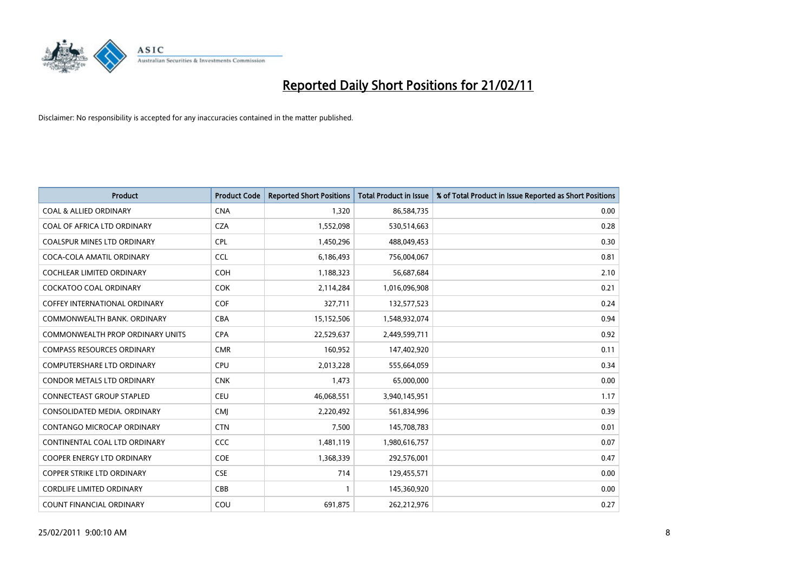

| <b>Product</b>                       | <b>Product Code</b> | <b>Reported Short Positions</b> | <b>Total Product in Issue</b> | % of Total Product in Issue Reported as Short Positions |
|--------------------------------------|---------------------|---------------------------------|-------------------------------|---------------------------------------------------------|
| <b>COAL &amp; ALLIED ORDINARY</b>    | <b>CNA</b>          | 1,320                           | 86,584,735                    | 0.00                                                    |
| COAL OF AFRICA LTD ORDINARY          | <b>CZA</b>          | 1,552,098                       | 530,514,663                   | 0.28                                                    |
| <b>COALSPUR MINES LTD ORDINARY</b>   | <b>CPL</b>          | 1,450,296                       | 488,049,453                   | 0.30                                                    |
| COCA-COLA AMATIL ORDINARY            | <b>CCL</b>          | 6,186,493                       | 756,004,067                   | 0.81                                                    |
| <b>COCHLEAR LIMITED ORDINARY</b>     | <b>COH</b>          | 1,188,323                       | 56,687,684                    | 2.10                                                    |
| <b>COCKATOO COAL ORDINARY</b>        | <b>COK</b>          | 2,114,284                       | 1,016,096,908                 | 0.21                                                    |
| <b>COFFEY INTERNATIONAL ORDINARY</b> | <b>COF</b>          | 327,711                         | 132,577,523                   | 0.24                                                    |
| COMMONWEALTH BANK, ORDINARY          | <b>CBA</b>          | 15,152,506                      | 1,548,932,074                 | 0.94                                                    |
| COMMONWEALTH PROP ORDINARY UNITS     | <b>CPA</b>          | 22,529,637                      | 2,449,599,711                 | 0.92                                                    |
| <b>COMPASS RESOURCES ORDINARY</b>    | <b>CMR</b>          | 160,952                         | 147,402,920                   | 0.11                                                    |
| <b>COMPUTERSHARE LTD ORDINARY</b>    | <b>CPU</b>          | 2,013,228                       | 555,664,059                   | 0.34                                                    |
| <b>CONDOR METALS LTD ORDINARY</b>    | <b>CNK</b>          | 1,473                           | 65,000,000                    | 0.00                                                    |
| CONNECTEAST GROUP STAPLED            | <b>CEU</b>          | 46,068,551                      | 3,940,145,951                 | 1.17                                                    |
| CONSOLIDATED MEDIA, ORDINARY         | <b>CMI</b>          | 2,220,492                       | 561,834,996                   | 0.39                                                    |
| <b>CONTANGO MICROCAP ORDINARY</b>    | <b>CTN</b>          | 7,500                           | 145,708,783                   | 0.01                                                    |
| CONTINENTAL COAL LTD ORDINARY        | <b>CCC</b>          | 1,481,119                       | 1,980,616,757                 | 0.07                                                    |
| COOPER ENERGY LTD ORDINARY           | <b>COE</b>          | 1,368,339                       | 292,576,001                   | 0.47                                                    |
| COPPER STRIKE LTD ORDINARY           | <b>CSE</b>          | 714                             | 129,455,571                   | 0.00                                                    |
| <b>CORDLIFE LIMITED ORDINARY</b>     | CBB                 |                                 | 145,360,920                   | 0.00                                                    |
| COUNT FINANCIAL ORDINARY             | COU                 | 691,875                         | 262,212,976                   | 0.27                                                    |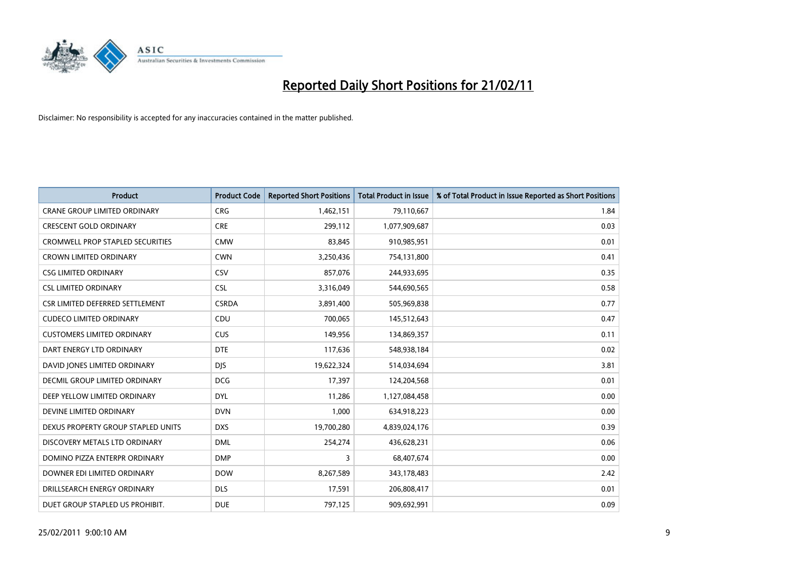

| <b>Product</b>                          | <b>Product Code</b> | <b>Reported Short Positions</b> | Total Product in Issue | % of Total Product in Issue Reported as Short Positions |
|-----------------------------------------|---------------------|---------------------------------|------------------------|---------------------------------------------------------|
| <b>CRANE GROUP LIMITED ORDINARY</b>     | <b>CRG</b>          | 1,462,151                       | 79,110,667             | 1.84                                                    |
| <b>CRESCENT GOLD ORDINARY</b>           | <b>CRE</b>          | 299,112                         | 1,077,909,687          | 0.03                                                    |
| <b>CROMWELL PROP STAPLED SECURITIES</b> | <b>CMW</b>          | 83,845                          | 910,985,951            | 0.01                                                    |
| <b>CROWN LIMITED ORDINARY</b>           | <b>CWN</b>          | 3,250,436                       | 754,131,800            | 0.41                                                    |
| <b>CSG LIMITED ORDINARY</b>             | CSV                 | 857,076                         | 244,933,695            | 0.35                                                    |
| <b>CSL LIMITED ORDINARY</b>             | <b>CSL</b>          | 3,316,049                       | 544,690,565            | 0.58                                                    |
| CSR LIMITED DEFERRED SETTLEMENT         | <b>CSRDA</b>        | 3,891,400                       | 505,969,838            | 0.77                                                    |
| <b>CUDECO LIMITED ORDINARY</b>          | CDU                 | 700,065                         | 145,512,643            | 0.47                                                    |
| <b>CUSTOMERS LIMITED ORDINARY</b>       | <b>CUS</b>          | 149,956                         | 134,869,357            | 0.11                                                    |
| DART ENERGY LTD ORDINARY                | <b>DTE</b>          | 117,636                         | 548,938,184            | 0.02                                                    |
| DAVID JONES LIMITED ORDINARY            | <b>DJS</b>          | 19,622,324                      | 514,034,694            | 3.81                                                    |
| <b>DECMIL GROUP LIMITED ORDINARY</b>    | <b>DCG</b>          | 17,397                          | 124,204,568            | 0.01                                                    |
| DEEP YELLOW LIMITED ORDINARY            | <b>DYL</b>          | 11,286                          | 1,127,084,458          | 0.00                                                    |
| DEVINE LIMITED ORDINARY                 | <b>DVN</b>          | 1,000                           | 634,918,223            | 0.00                                                    |
| DEXUS PROPERTY GROUP STAPLED UNITS      | <b>DXS</b>          | 19,700,280                      | 4,839,024,176          | 0.39                                                    |
| DISCOVERY METALS LTD ORDINARY           | <b>DML</b>          | 254,274                         | 436,628,231            | 0.06                                                    |
| DOMINO PIZZA ENTERPR ORDINARY           | <b>DMP</b>          | 3                               | 68,407,674             | 0.00                                                    |
| DOWNER EDI LIMITED ORDINARY             | <b>DOW</b>          | 8,267,589                       | 343,178,483            | 2.42                                                    |
| DRILLSEARCH ENERGY ORDINARY             | <b>DLS</b>          | 17,591                          | 206,808,417            | 0.01                                                    |
| DUET GROUP STAPLED US PROHIBIT.         | <b>DUE</b>          | 797,125                         | 909,692,991            | 0.09                                                    |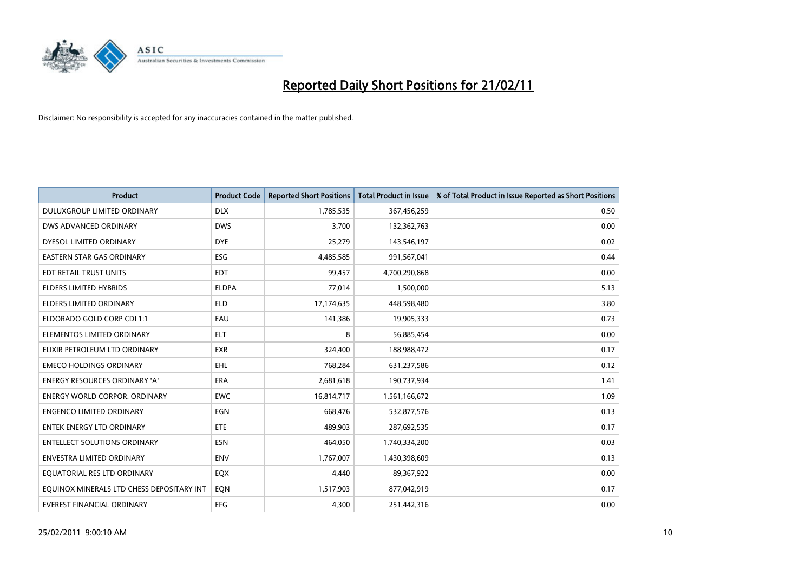

| <b>Product</b>                            | <b>Product Code</b> | <b>Reported Short Positions</b> | Total Product in Issue | % of Total Product in Issue Reported as Short Positions |
|-------------------------------------------|---------------------|---------------------------------|------------------------|---------------------------------------------------------|
| DULUXGROUP LIMITED ORDINARY               | <b>DLX</b>          | 1,785,535                       | 367,456,259            | 0.50                                                    |
| DWS ADVANCED ORDINARY                     | <b>DWS</b>          | 3.700                           | 132,362,763            | 0.00                                                    |
| DYESOL LIMITED ORDINARY                   | <b>DYE</b>          | 25,279                          | 143,546,197            | 0.02                                                    |
| EASTERN STAR GAS ORDINARY                 | ESG                 | 4,485,585                       | 991,567,041            | 0.44                                                    |
| EDT RETAIL TRUST UNITS                    | <b>EDT</b>          | 99,457                          | 4,700,290,868          | 0.00                                                    |
| <b>ELDERS LIMITED HYBRIDS</b>             | <b>ELDPA</b>        | 77,014                          | 1,500,000              | 5.13                                                    |
| <b>ELDERS LIMITED ORDINARY</b>            | <b>ELD</b>          | 17,174,635                      | 448,598,480            | 3.80                                                    |
| ELDORADO GOLD CORP CDI 1:1                | EAU                 | 141,386                         | 19,905,333             | 0.73                                                    |
| ELEMENTOS LIMITED ORDINARY                | <b>ELT</b>          | 8                               | 56,885,454             | 0.00                                                    |
| ELIXIR PETROLEUM LTD ORDINARY             | <b>EXR</b>          | 324,400                         | 188,988,472            | 0.17                                                    |
| <b>EMECO HOLDINGS ORDINARY</b>            | <b>EHL</b>          | 768,284                         | 631,237,586            | 0.12                                                    |
| <b>ENERGY RESOURCES ORDINARY 'A'</b>      | <b>ERA</b>          | 2,681,618                       | 190,737,934            | 1.41                                                    |
| <b>ENERGY WORLD CORPOR, ORDINARY</b>      | <b>EWC</b>          | 16,814,717                      | 1,561,166,672          | 1.09                                                    |
| <b>ENGENCO LIMITED ORDINARY</b>           | EGN                 | 668,476                         | 532,877,576            | 0.13                                                    |
| <b>ENTEK ENERGY LTD ORDINARY</b>          | ETE                 | 489,903                         | 287,692,535            | 0.17                                                    |
| <b>ENTELLECT SOLUTIONS ORDINARY</b>       | <b>ESN</b>          | 464,050                         | 1,740,334,200          | 0.03                                                    |
| <b>ENVESTRA LIMITED ORDINARY</b>          | <b>ENV</b>          | 1,767,007                       | 1,430,398,609          | 0.13                                                    |
| EQUATORIAL RES LTD ORDINARY               | EQX                 | 4,440                           | 89,367,922             | 0.00                                                    |
| EOUINOX MINERALS LTD CHESS DEPOSITARY INT | EON                 | 1,517,903                       | 877,042,919            | 0.17                                                    |
| EVEREST FINANCIAL ORDINARY                | <b>EFG</b>          | 4.300                           | 251,442,316            | 0.00                                                    |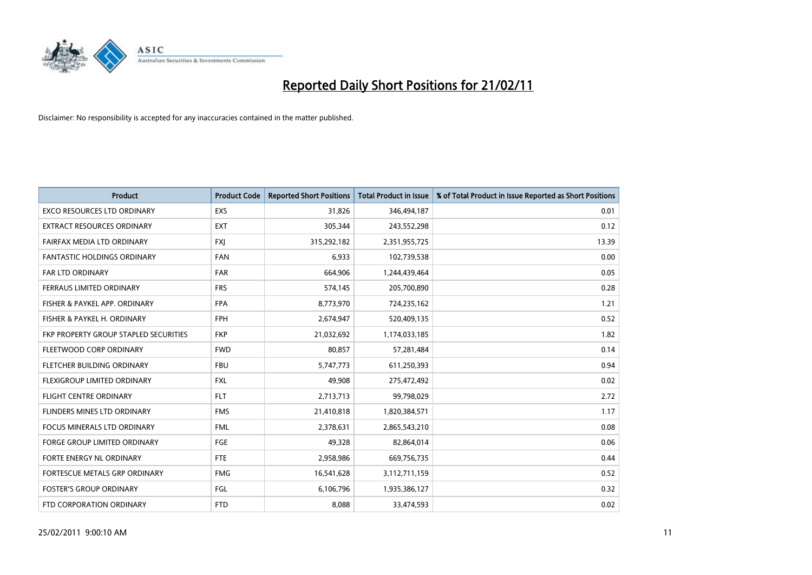

| <b>Product</b>                        | <b>Product Code</b> | <b>Reported Short Positions</b> | <b>Total Product in Issue</b> | % of Total Product in Issue Reported as Short Positions |
|---------------------------------------|---------------------|---------------------------------|-------------------------------|---------------------------------------------------------|
| <b>EXCO RESOURCES LTD ORDINARY</b>    | EXS                 | 31,826                          | 346,494,187                   | 0.01                                                    |
| EXTRACT RESOURCES ORDINARY            | <b>EXT</b>          | 305,344                         | 243,552,298                   | 0.12                                                    |
| FAIRFAX MEDIA LTD ORDINARY            | <b>FXI</b>          | 315,292,182                     | 2,351,955,725                 | 13.39                                                   |
| FANTASTIC HOLDINGS ORDINARY           | <b>FAN</b>          | 6,933                           | 102,739,538                   | 0.00                                                    |
| <b>FAR LTD ORDINARY</b>               | <b>FAR</b>          | 664,906                         | 1,244,439,464                 | 0.05                                                    |
| FERRAUS LIMITED ORDINARY              | <b>FRS</b>          | 574,145                         | 205,700,890                   | 0.28                                                    |
| FISHER & PAYKEL APP. ORDINARY         | <b>FPA</b>          | 8,773,970                       | 724,235,162                   | 1.21                                                    |
| FISHER & PAYKEL H. ORDINARY           | <b>FPH</b>          | 2,674,947                       | 520,409,135                   | 0.52                                                    |
| FKP PROPERTY GROUP STAPLED SECURITIES | <b>FKP</b>          | 21,032,692                      | 1,174,033,185                 | 1.82                                                    |
| FLEETWOOD CORP ORDINARY               | <b>FWD</b>          | 80,857                          | 57,281,484                    | 0.14                                                    |
| FLETCHER BUILDING ORDINARY            | <b>FBU</b>          | 5,747,773                       | 611,250,393                   | 0.94                                                    |
| FLEXIGROUP LIMITED ORDINARY           | <b>FXL</b>          | 49,908                          | 275,472,492                   | 0.02                                                    |
| <b>FLIGHT CENTRE ORDINARY</b>         | <b>FLT</b>          | 2,713,713                       | 99,798,029                    | 2.72                                                    |
| FLINDERS MINES LTD ORDINARY           | <b>FMS</b>          | 21,410,818                      | 1,820,384,571                 | 1.17                                                    |
| <b>FOCUS MINERALS LTD ORDINARY</b>    | <b>FML</b>          | 2,378,631                       | 2,865,543,210                 | 0.08                                                    |
| <b>FORGE GROUP LIMITED ORDINARY</b>   | FGE                 | 49,328                          | 82,864,014                    | 0.06                                                    |
| FORTE ENERGY NL ORDINARY              | <b>FTE</b>          | 2,958,986                       | 669,756,735                   | 0.44                                                    |
| FORTESCUE METALS GRP ORDINARY         | <b>FMG</b>          | 16,541,628                      | 3,112,711,159                 | 0.52                                                    |
| <b>FOSTER'S GROUP ORDINARY</b>        | <b>FGL</b>          | 6,106,796                       | 1,935,386,127                 | 0.32                                                    |
| FTD CORPORATION ORDINARY              | <b>FTD</b>          | 8,088                           | 33,474,593                    | 0.02                                                    |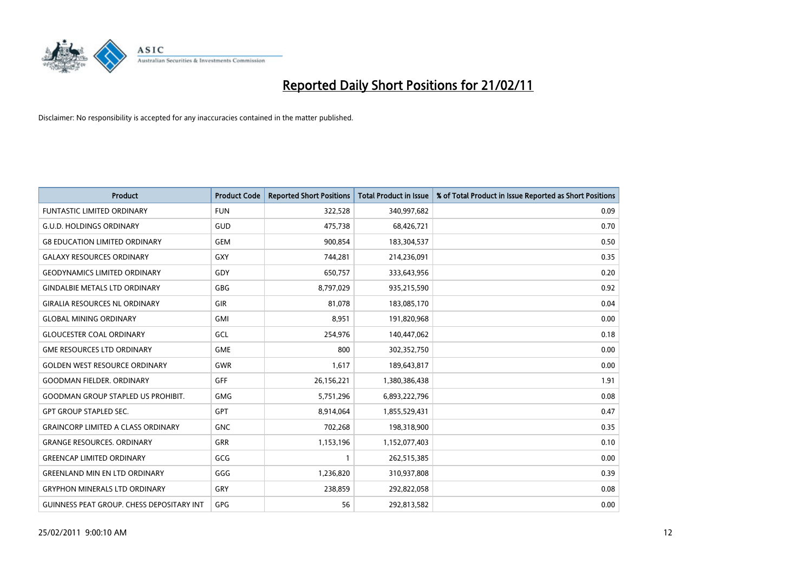

| <b>Product</b>                                   | <b>Product Code</b> | <b>Reported Short Positions</b> | <b>Total Product in Issue</b> | % of Total Product in Issue Reported as Short Positions |
|--------------------------------------------------|---------------------|---------------------------------|-------------------------------|---------------------------------------------------------|
| <b>FUNTASTIC LIMITED ORDINARY</b>                | <b>FUN</b>          | 322,528                         | 340,997,682                   | 0.09                                                    |
| <b>G.U.D. HOLDINGS ORDINARY</b>                  | GUD                 | 475,738                         | 68,426,721                    | 0.70                                                    |
| <b>G8 EDUCATION LIMITED ORDINARY</b>             | <b>GEM</b>          | 900,854                         | 183,304,537                   | 0.50                                                    |
| <b>GALAXY RESOURCES ORDINARY</b>                 | <b>GXY</b>          | 744,281                         | 214,236,091                   | 0.35                                                    |
| <b>GEODYNAMICS LIMITED ORDINARY</b>              | GDY                 | 650,757                         | 333,643,956                   | 0.20                                                    |
| <b>GINDALBIE METALS LTD ORDINARY</b>             | <b>GBG</b>          | 8,797,029                       | 935,215,590                   | 0.92                                                    |
| <b>GIRALIA RESOURCES NL ORDINARY</b>             | GIR                 | 81.078                          | 183,085,170                   | 0.04                                                    |
| <b>GLOBAL MINING ORDINARY</b>                    | GMI                 | 8,951                           | 191,820,968                   | 0.00                                                    |
| <b>GLOUCESTER COAL ORDINARY</b>                  | GCL                 | 254,976                         | 140,447,062                   | 0.18                                                    |
| <b>GME RESOURCES LTD ORDINARY</b>                | <b>GME</b>          | 800                             | 302,352,750                   | 0.00                                                    |
| <b>GOLDEN WEST RESOURCE ORDINARY</b>             | <b>GWR</b>          | 1,617                           | 189,643,817                   | 0.00                                                    |
| <b>GOODMAN FIELDER, ORDINARY</b>                 | GFF                 | 26,156,221                      | 1,380,386,438                 | 1.91                                                    |
| <b>GOODMAN GROUP STAPLED US PROHIBIT.</b>        | <b>GMG</b>          | 5,751,296                       | 6,893,222,796                 | 0.08                                                    |
| <b>GPT GROUP STAPLED SEC.</b>                    | <b>GPT</b>          | 8,914,064                       | 1,855,529,431                 | 0.47                                                    |
| <b>GRAINCORP LIMITED A CLASS ORDINARY</b>        | <b>GNC</b>          | 702,268                         | 198,318,900                   | 0.35                                                    |
| <b>GRANGE RESOURCES. ORDINARY</b>                | GRR                 | 1,153,196                       | 1,152,077,403                 | 0.10                                                    |
| <b>GREENCAP LIMITED ORDINARY</b>                 | GCG                 |                                 | 262,515,385                   | 0.00                                                    |
| <b>GREENLAND MIN EN LTD ORDINARY</b>             | GGG                 | 1,236,820                       | 310,937,808                   | 0.39                                                    |
| <b>GRYPHON MINERALS LTD ORDINARY</b>             | GRY                 | 238,859                         | 292,822,058                   | 0.08                                                    |
| <b>GUINNESS PEAT GROUP. CHESS DEPOSITARY INT</b> | <b>GPG</b>          | 56                              | 292,813,582                   | 0.00                                                    |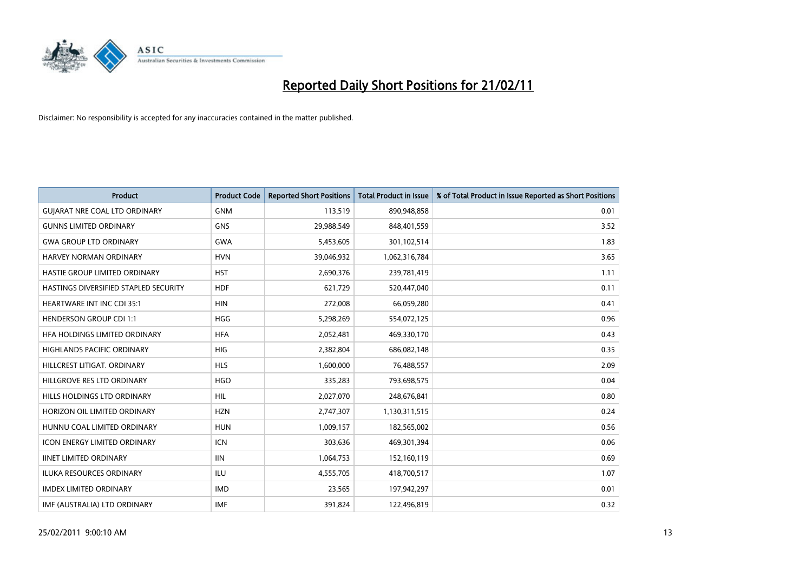

| Product                               | <b>Product Code</b> | <b>Reported Short Positions</b> | <b>Total Product in Issue</b> | % of Total Product in Issue Reported as Short Positions |
|---------------------------------------|---------------------|---------------------------------|-------------------------------|---------------------------------------------------------|
| <b>GUIARAT NRE COAL LTD ORDINARY</b>  | <b>GNM</b>          | 113,519                         | 890,948,858                   | 0.01                                                    |
| <b>GUNNS LIMITED ORDINARY</b>         | <b>GNS</b>          | 29,988,549                      | 848,401,559                   | 3.52                                                    |
| <b>GWA GROUP LTD ORDINARY</b>         | <b>GWA</b>          | 5,453,605                       | 301,102,514                   | 1.83                                                    |
| HARVEY NORMAN ORDINARY                | <b>HVN</b>          | 39,046,932                      | 1,062,316,784                 | 3.65                                                    |
| HASTIE GROUP LIMITED ORDINARY         | <b>HST</b>          | 2,690,376                       | 239,781,419                   | 1.11                                                    |
| HASTINGS DIVERSIFIED STAPLED SECURITY | <b>HDF</b>          | 621,729                         | 520,447,040                   | 0.11                                                    |
| <b>HEARTWARE INT INC CDI 35:1</b>     | <b>HIN</b>          | 272,008                         | 66,059,280                    | 0.41                                                    |
| <b>HENDERSON GROUP CDI 1:1</b>        | <b>HGG</b>          | 5,298,269                       | 554,072,125                   | 0.96                                                    |
| HFA HOLDINGS LIMITED ORDINARY         | <b>HFA</b>          | 2,052,481                       | 469,330,170                   | 0.43                                                    |
| <b>HIGHLANDS PACIFIC ORDINARY</b>     | <b>HIG</b>          | 2,382,804                       | 686,082,148                   | 0.35                                                    |
| HILLCREST LITIGAT, ORDINARY           | <b>HLS</b>          | 1,600,000                       | 76,488,557                    | 2.09                                                    |
| HILLGROVE RES LTD ORDINARY            | <b>HGO</b>          | 335,283                         | 793,698,575                   | 0.04                                                    |
| HILLS HOLDINGS LTD ORDINARY           | <b>HIL</b>          | 2,027,070                       | 248,676,841                   | 0.80                                                    |
| HORIZON OIL LIMITED ORDINARY          | <b>HZN</b>          | 2,747,307                       | 1,130,311,515                 | 0.24                                                    |
| HUNNU COAL LIMITED ORDINARY           | <b>HUN</b>          | 1,009,157                       | 182,565,002                   | 0.56                                                    |
| <b>ICON ENERGY LIMITED ORDINARY</b>   | <b>ICN</b>          | 303,636                         | 469,301,394                   | 0.06                                                    |
| <b>IINET LIMITED ORDINARY</b>         | <b>IIN</b>          | 1,064,753                       | 152,160,119                   | 0.69                                                    |
| ILUKA RESOURCES ORDINARY              | ILU                 | 4,555,705                       | 418,700,517                   | 1.07                                                    |
| <b>IMDEX LIMITED ORDINARY</b>         | <b>IMD</b>          | 23,565                          | 197,942,297                   | 0.01                                                    |
| IMF (AUSTRALIA) LTD ORDINARY          | <b>IMF</b>          | 391,824                         | 122,496,819                   | 0.32                                                    |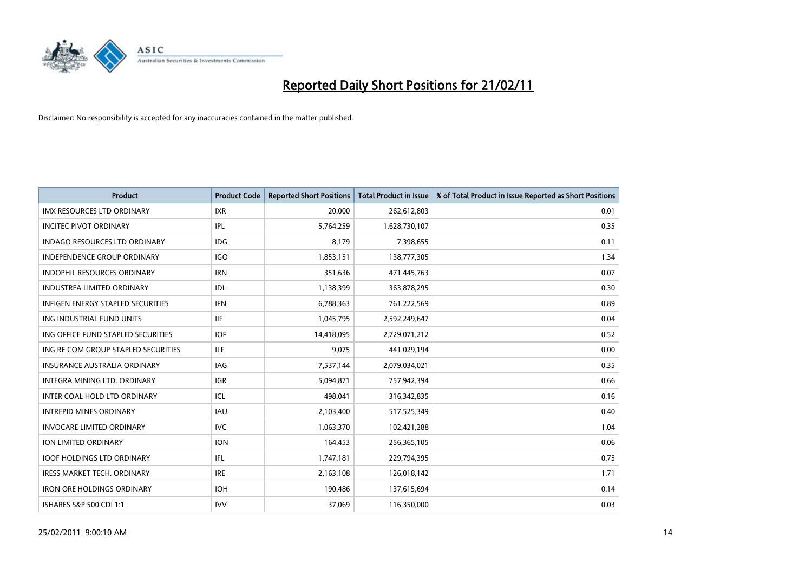

| Product                                  | <b>Product Code</b> | <b>Reported Short Positions</b> | <b>Total Product in Issue</b> | % of Total Product in Issue Reported as Short Positions |
|------------------------------------------|---------------------|---------------------------------|-------------------------------|---------------------------------------------------------|
| <b>IMX RESOURCES LTD ORDINARY</b>        | <b>IXR</b>          | 20,000                          | 262,612,803                   | 0.01                                                    |
| <b>INCITEC PIVOT ORDINARY</b>            | <b>IPL</b>          | 5,764,259                       | 1,628,730,107                 | 0.35                                                    |
| <b>INDAGO RESOURCES LTD ORDINARY</b>     | <b>IDG</b>          | 8,179                           | 7,398,655                     | 0.11                                                    |
| INDEPENDENCE GROUP ORDINARY              | <b>IGO</b>          | 1,853,151                       | 138,777,305                   | 1.34                                                    |
| <b>INDOPHIL RESOURCES ORDINARY</b>       | <b>IRN</b>          | 351,636                         | 471,445,763                   | 0.07                                                    |
| <b>INDUSTREA LIMITED ORDINARY</b>        | IDL                 | 1,138,399                       | 363,878,295                   | 0.30                                                    |
| <b>INFIGEN ENERGY STAPLED SECURITIES</b> | <b>IFN</b>          | 6,788,363                       | 761,222,569                   | 0.89                                                    |
| ING INDUSTRIAL FUND UNITS                | <b>IIF</b>          | 1,045,795                       | 2,592,249,647                 | 0.04                                                    |
| ING OFFICE FUND STAPLED SECURITIES       | <b>IOF</b>          | 14,418,095                      | 2,729,071,212                 | 0.52                                                    |
| ING RE COM GROUP STAPLED SECURITIES      | <b>ILF</b>          | 9,075                           | 441,029,194                   | 0.00                                                    |
| <b>INSURANCE AUSTRALIA ORDINARY</b>      | IAG                 | 7,537,144                       | 2,079,034,021                 | 0.35                                                    |
| <b>INTEGRA MINING LTD, ORDINARY</b>      | IGR                 | 5,094,871                       | 757,942,394                   | 0.66                                                    |
| INTER COAL HOLD LTD ORDINARY             | ICL                 | 498.041                         | 316,342,835                   | 0.16                                                    |
| <b>INTREPID MINES ORDINARY</b>           | <b>IAU</b>          | 2,103,400                       | 517,525,349                   | 0.40                                                    |
| <b>INVOCARE LIMITED ORDINARY</b>         | <b>IVC</b>          | 1,063,370                       | 102,421,288                   | 1.04                                                    |
| ION LIMITED ORDINARY                     | <b>ION</b>          | 164,453                         | 256,365,105                   | 0.06                                                    |
| <b>IOOF HOLDINGS LTD ORDINARY</b>        | <b>IFL</b>          | 1,747,181                       | 229,794,395                   | 0.75                                                    |
| <b>IRESS MARKET TECH. ORDINARY</b>       | <b>IRE</b>          | 2,163,108                       | 126,018,142                   | 1.71                                                    |
| <b>IRON ORE HOLDINGS ORDINARY</b>        | <b>IOH</b>          | 190,486                         | 137,615,694                   | 0.14                                                    |
| ISHARES S&P 500 CDI 1:1                  | <b>IVV</b>          | 37,069                          | 116,350,000                   | 0.03                                                    |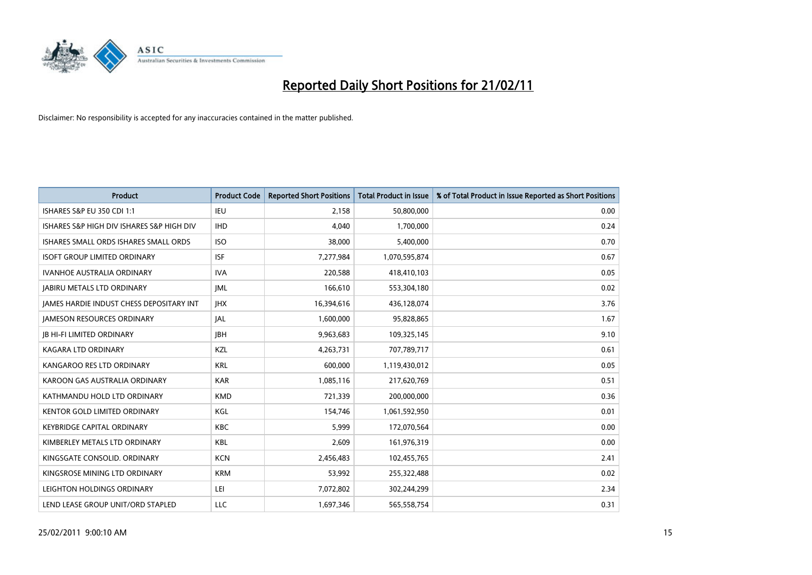

| <b>Product</b>                                  | <b>Product Code</b> | <b>Reported Short Positions</b> | Total Product in Issue | % of Total Product in Issue Reported as Short Positions |
|-------------------------------------------------|---------------------|---------------------------------|------------------------|---------------------------------------------------------|
| <b>ISHARES S&amp;P EU 350 CDI 1:1</b>           | <b>IEU</b>          | 2,158                           | 50,800,000             | 0.00                                                    |
| ISHARES S&P HIGH DIV ISHARES S&P HIGH DIV       | <b>IHD</b>          | 4.040                           | 1,700,000              | 0.24                                                    |
| <b>ISHARES SMALL ORDS ISHARES SMALL ORDS</b>    | <b>ISO</b>          | 38,000                          | 5,400,000              | 0.70                                                    |
| <b>ISOFT GROUP LIMITED ORDINARY</b>             | <b>ISF</b>          | 7,277,984                       | 1,070,595,874          | 0.67                                                    |
| <b>IVANHOE AUSTRALIA ORDINARY</b>               | <b>IVA</b>          | 220.588                         | 418,410,103            | 0.05                                                    |
| <b>JABIRU METALS LTD ORDINARY</b>               | <b>JML</b>          | 166,610                         | 553,304,180            | 0.02                                                    |
| <b>IAMES HARDIE INDUST CHESS DEPOSITARY INT</b> | <b>IHX</b>          | 16,394,616                      | 436,128,074            | 3.76                                                    |
| <b>JAMESON RESOURCES ORDINARY</b>               | <b>JAL</b>          | 1,600,000                       | 95,828,865             | 1.67                                                    |
| <b>JB HI-FI LIMITED ORDINARY</b>                | <b>IBH</b>          | 9,963,683                       | 109,325,145            | 9.10                                                    |
| <b>KAGARA LTD ORDINARY</b>                      | KZL                 | 4,263,731                       | 707,789,717            | 0.61                                                    |
| KANGAROO RES LTD ORDINARY                       | <b>KRL</b>          | 600,000                         | 1,119,430,012          | 0.05                                                    |
| KAROON GAS AUSTRALIA ORDINARY                   | <b>KAR</b>          | 1,085,116                       | 217,620,769            | 0.51                                                    |
| KATHMANDU HOLD LTD ORDINARY                     | <b>KMD</b>          | 721,339                         | 200,000,000            | 0.36                                                    |
| <b>KENTOR GOLD LIMITED ORDINARY</b>             | KGL                 | 154,746                         | 1,061,592,950          | 0.01                                                    |
| <b>KEYBRIDGE CAPITAL ORDINARY</b>               | <b>KBC</b>          | 5,999                           | 172,070,564            | 0.00                                                    |
| KIMBERLEY METALS LTD ORDINARY                   | KBL                 | 2.609                           | 161,976,319            | 0.00                                                    |
| KINGSGATE CONSOLID. ORDINARY                    | <b>KCN</b>          | 2,456,483                       | 102,455,765            | 2.41                                                    |
| KINGSROSE MINING LTD ORDINARY                   | <b>KRM</b>          | 53,992                          | 255,322,488            | 0.02                                                    |
| LEIGHTON HOLDINGS ORDINARY                      | LEI                 | 7,072,802                       | 302,244,299            | 2.34                                                    |
| LEND LEASE GROUP UNIT/ORD STAPLED               | <b>LLC</b>          | 1.697.346                       | 565,558,754            | 0.31                                                    |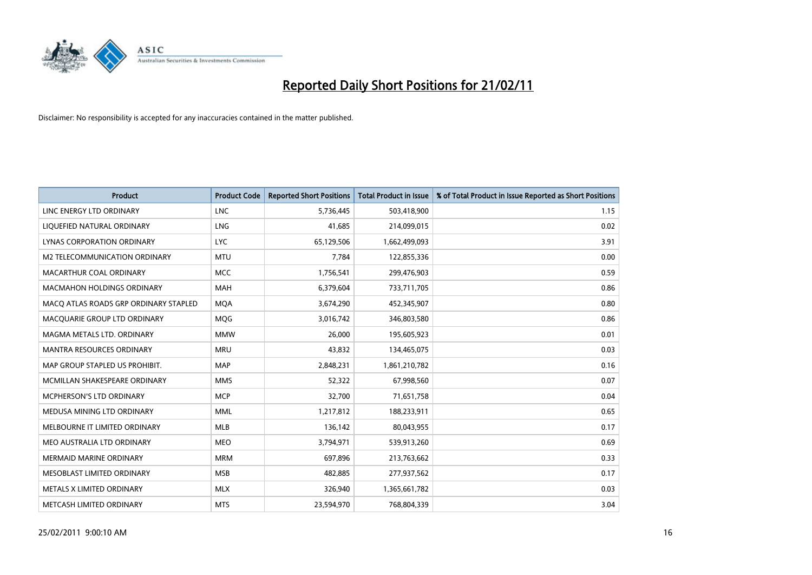

| <b>Product</b>                        | <b>Product Code</b> | <b>Reported Short Positions</b> | Total Product in Issue | % of Total Product in Issue Reported as Short Positions |
|---------------------------------------|---------------------|---------------------------------|------------------------|---------------------------------------------------------|
| LINC ENERGY LTD ORDINARY              | <b>LNC</b>          | 5,736,445                       | 503,418,900            | 1.15                                                    |
| LIQUEFIED NATURAL ORDINARY            | <b>LNG</b>          | 41,685                          | 214,099,015            | 0.02                                                    |
| LYNAS CORPORATION ORDINARY            | <b>LYC</b>          | 65,129,506                      | 1,662,499,093          | 3.91                                                    |
| M2 TELECOMMUNICATION ORDINARY         | <b>MTU</b>          | 7,784                           | 122,855,336            | 0.00                                                    |
| <b>MACARTHUR COAL ORDINARY</b>        | <b>MCC</b>          | 1,756,541                       | 299,476,903            | 0.59                                                    |
| <b>MACMAHON HOLDINGS ORDINARY</b>     | <b>MAH</b>          | 6,379,604                       | 733,711,705            | 0.86                                                    |
| MACO ATLAS ROADS GRP ORDINARY STAPLED | <b>MQA</b>          | 3,674,290                       | 452,345,907            | 0.80                                                    |
| MACQUARIE GROUP LTD ORDINARY          | MQG                 | 3,016,742                       | 346,803,580            | 0.86                                                    |
| MAGMA METALS LTD. ORDINARY            | <b>MMW</b>          | 26,000                          | 195,605,923            | 0.01                                                    |
| <b>MANTRA RESOURCES ORDINARY</b>      | <b>MRU</b>          | 43,832                          | 134,465,075            | 0.03                                                    |
| MAP GROUP STAPLED US PROHIBIT.        | <b>MAP</b>          | 2,848,231                       | 1,861,210,782          | 0.16                                                    |
| MCMILLAN SHAKESPEARE ORDINARY         | <b>MMS</b>          | 52,322                          | 67,998,560             | 0.07                                                    |
| <b>MCPHERSON'S LTD ORDINARY</b>       | <b>MCP</b>          | 32,700                          | 71,651,758             | 0.04                                                    |
| MEDUSA MINING LTD ORDINARY            | <b>MML</b>          | 1,217,812                       | 188,233,911            | 0.65                                                    |
| MELBOURNE IT LIMITED ORDINARY         | <b>MLB</b>          | 136,142                         | 80,043,955             | 0.17                                                    |
| MEO AUSTRALIA LTD ORDINARY            | <b>MEO</b>          | 3,794,971                       | 539,913,260            | 0.69                                                    |
| <b>MERMAID MARINE ORDINARY</b>        | <b>MRM</b>          | 697,896                         | 213,763,662            | 0.33                                                    |
| MESOBLAST LIMITED ORDINARY            | <b>MSB</b>          | 482,885                         | 277,937,562            | 0.17                                                    |
| METALS X LIMITED ORDINARY             | <b>MLX</b>          | 326,940                         | 1,365,661,782          | 0.03                                                    |
| METCASH LIMITED ORDINARY              | <b>MTS</b>          | 23,594,970                      | 768,804,339            | 3.04                                                    |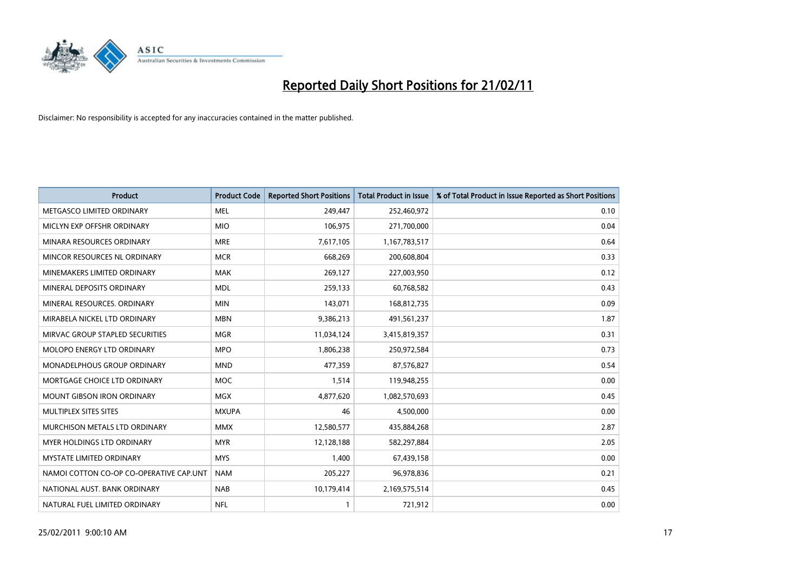

| Product                                 | <b>Product Code</b> | <b>Reported Short Positions</b> | <b>Total Product in Issue</b> | % of Total Product in Issue Reported as Short Positions |
|-----------------------------------------|---------------------|---------------------------------|-------------------------------|---------------------------------------------------------|
| METGASCO LIMITED ORDINARY               | <b>MEL</b>          | 249,447                         | 252,460,972                   | 0.10                                                    |
| MICLYN EXP OFFSHR ORDINARY              | <b>MIO</b>          | 106,975                         | 271,700,000                   | 0.04                                                    |
| MINARA RESOURCES ORDINARY               | <b>MRE</b>          | 7,617,105                       | 1,167,783,517                 | 0.64                                                    |
| MINCOR RESOURCES NL ORDINARY            | <b>MCR</b>          | 668,269                         | 200,608,804                   | 0.33                                                    |
| MINEMAKERS LIMITED ORDINARY             | <b>MAK</b>          | 269,127                         | 227,003,950                   | 0.12                                                    |
| MINERAL DEPOSITS ORDINARY               | <b>MDL</b>          | 259,133                         | 60,768,582                    | 0.43                                                    |
| MINERAL RESOURCES, ORDINARY             | <b>MIN</b>          | 143,071                         | 168,812,735                   | 0.09                                                    |
| MIRABELA NICKEL LTD ORDINARY            | <b>MBN</b>          | 9,386,213                       | 491,561,237                   | 1.87                                                    |
| MIRVAC GROUP STAPLED SECURITIES         | <b>MGR</b>          | 11,034,124                      | 3,415,819,357                 | 0.31                                                    |
| MOLOPO ENERGY LTD ORDINARY              | <b>MPO</b>          | 1,806,238                       | 250,972,584                   | 0.73                                                    |
| MONADELPHOUS GROUP ORDINARY             | <b>MND</b>          | 477,359                         | 87,576,827                    | 0.54                                                    |
| MORTGAGE CHOICE LTD ORDINARY            | <b>MOC</b>          | 1,514                           | 119,948,255                   | 0.00                                                    |
| <b>MOUNT GIBSON IRON ORDINARY</b>       | <b>MGX</b>          | 4,877,620                       | 1,082,570,693                 | 0.45                                                    |
| MULTIPLEX SITES SITES                   | <b>MXUPA</b>        | 46                              | 4,500,000                     | 0.00                                                    |
| MURCHISON METALS LTD ORDINARY           | <b>MMX</b>          | 12,580,577                      | 435,884,268                   | 2.87                                                    |
| MYER HOLDINGS LTD ORDINARY              | <b>MYR</b>          | 12,128,188                      | 582,297,884                   | 2.05                                                    |
| <b>MYSTATE LIMITED ORDINARY</b>         | <b>MYS</b>          | 1,400                           | 67,439,158                    | 0.00                                                    |
| NAMOI COTTON CO-OP CO-OPERATIVE CAP.UNT | <b>NAM</b>          | 205,227                         | 96,978,836                    | 0.21                                                    |
| NATIONAL AUST, BANK ORDINARY            | <b>NAB</b>          | 10,179,414                      | 2,169,575,514                 | 0.45                                                    |
| NATURAL FUEL LIMITED ORDINARY           | <b>NFL</b>          |                                 | 721,912                       | 0.00                                                    |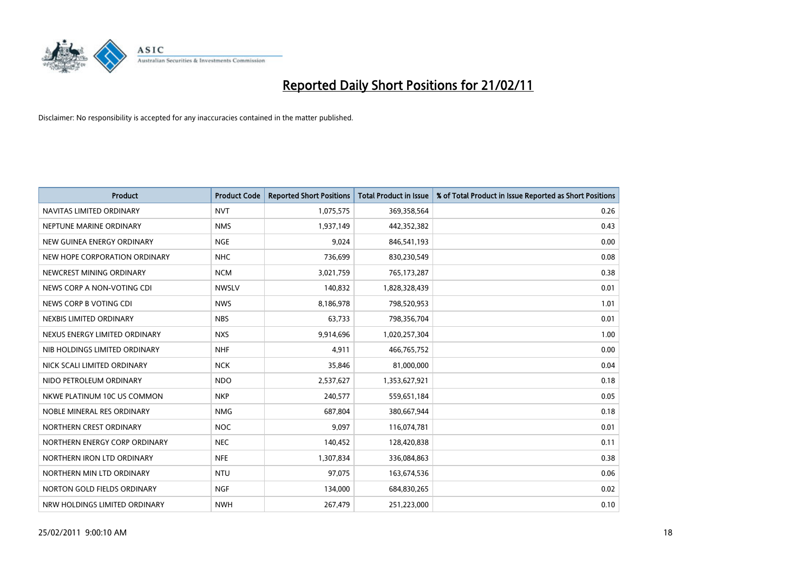

| <b>Product</b>                | <b>Product Code</b> | <b>Reported Short Positions</b> | <b>Total Product in Issue</b> | % of Total Product in Issue Reported as Short Positions |
|-------------------------------|---------------------|---------------------------------|-------------------------------|---------------------------------------------------------|
| NAVITAS LIMITED ORDINARY      | <b>NVT</b>          | 1,075,575                       | 369,358,564                   | 0.26                                                    |
| NEPTUNE MARINE ORDINARY       | <b>NMS</b>          | 1,937,149                       | 442,352,382                   | 0.43                                                    |
| NEW GUINEA ENERGY ORDINARY    | <b>NGE</b>          | 9,024                           | 846,541,193                   | 0.00                                                    |
| NEW HOPE CORPORATION ORDINARY | <b>NHC</b>          | 736,699                         | 830,230,549                   | 0.08                                                    |
| NEWCREST MINING ORDINARY      | <b>NCM</b>          | 3,021,759                       | 765,173,287                   | 0.38                                                    |
| NEWS CORP A NON-VOTING CDI    | <b>NWSLV</b>        | 140,832                         | 1,828,328,439                 | 0.01                                                    |
| NEWS CORP B VOTING CDI        | <b>NWS</b>          | 8,186,978                       | 798,520,953                   | 1.01                                                    |
| NEXBIS LIMITED ORDINARY       | <b>NBS</b>          | 63,733                          | 798,356,704                   | 0.01                                                    |
| NEXUS ENERGY LIMITED ORDINARY | <b>NXS</b>          | 9,914,696                       | 1,020,257,304                 | 1.00                                                    |
| NIB HOLDINGS LIMITED ORDINARY | <b>NHF</b>          | 4,911                           | 466,765,752                   | 0.00                                                    |
| NICK SCALI LIMITED ORDINARY   | <b>NCK</b>          | 35,846                          | 81,000,000                    | 0.04                                                    |
| NIDO PETROLEUM ORDINARY       | <b>NDO</b>          | 2,537,627                       | 1,353,627,921                 | 0.18                                                    |
| NKWE PLATINUM 10C US COMMON   | <b>NKP</b>          | 240,577                         | 559,651,184                   | 0.05                                                    |
| NOBLE MINERAL RES ORDINARY    | <b>NMG</b>          | 687,804                         | 380,667,944                   | 0.18                                                    |
| NORTHERN CREST ORDINARY       | <b>NOC</b>          | 9,097                           | 116,074,781                   | 0.01                                                    |
| NORTHERN ENERGY CORP ORDINARY | <b>NEC</b>          | 140,452                         | 128,420,838                   | 0.11                                                    |
| NORTHERN IRON LTD ORDINARY    | <b>NFE</b>          | 1,307,834                       | 336,084,863                   | 0.38                                                    |
| NORTHERN MIN LTD ORDINARY     | <b>NTU</b>          | 97,075                          | 163,674,536                   | 0.06                                                    |
| NORTON GOLD FIELDS ORDINARY   | <b>NGF</b>          | 134,000                         | 684,830,265                   | 0.02                                                    |
| NRW HOLDINGS LIMITED ORDINARY | <b>NWH</b>          | 267,479                         | 251,223,000                   | 0.10                                                    |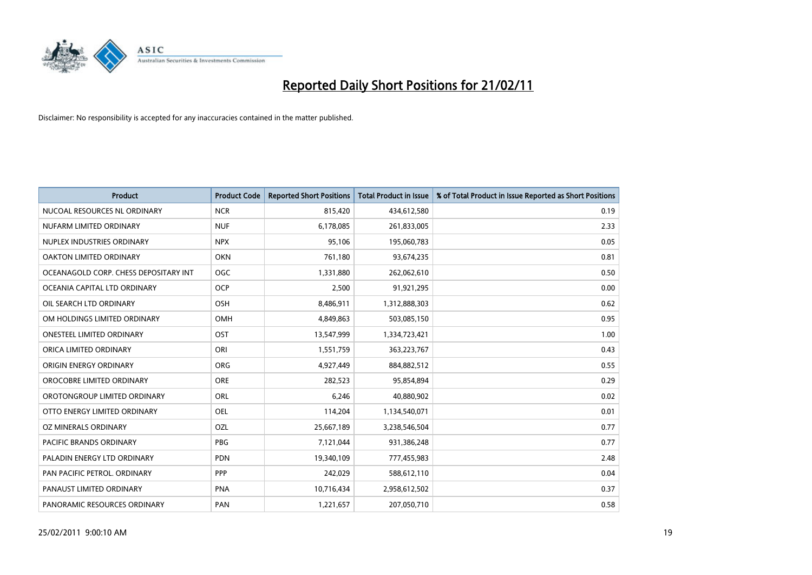

| Product                               | <b>Product Code</b> | <b>Reported Short Positions</b> | <b>Total Product in Issue</b> | % of Total Product in Issue Reported as Short Positions |
|---------------------------------------|---------------------|---------------------------------|-------------------------------|---------------------------------------------------------|
| NUCOAL RESOURCES NL ORDINARY          | <b>NCR</b>          | 815,420                         | 434,612,580                   | 0.19                                                    |
| NUFARM LIMITED ORDINARY               | <b>NUF</b>          | 6,178,085                       | 261,833,005                   | 2.33                                                    |
| NUPLEX INDUSTRIES ORDINARY            | <b>NPX</b>          | 95,106                          | 195,060,783                   | 0.05                                                    |
| OAKTON LIMITED ORDINARY               | <b>OKN</b>          | 761,180                         | 93,674,235                    | 0.81                                                    |
| OCEANAGOLD CORP. CHESS DEPOSITARY INT | <b>OGC</b>          | 1,331,880                       | 262,062,610                   | 0.50                                                    |
| OCEANIA CAPITAL LTD ORDINARY          | <b>OCP</b>          | 2,500                           | 91,921,295                    | 0.00                                                    |
| OIL SEARCH LTD ORDINARY               | OSH                 | 8,486,911                       | 1,312,888,303                 | 0.62                                                    |
| OM HOLDINGS LIMITED ORDINARY          | OMH                 | 4,849,863                       | 503,085,150                   | 0.95                                                    |
| ONESTEEL LIMITED ORDINARY             | OST                 | 13,547,999                      | 1,334,723,421                 | 1.00                                                    |
| ORICA LIMITED ORDINARY                | ORI                 | 1,551,759                       | 363,223,767                   | 0.43                                                    |
| ORIGIN ENERGY ORDINARY                | <b>ORG</b>          | 4,927,449                       | 884,882,512                   | 0.55                                                    |
| OROCOBRE LIMITED ORDINARY             | <b>ORE</b>          | 282,523                         | 95,854,894                    | 0.29                                                    |
| OROTONGROUP LIMITED ORDINARY          | <b>ORL</b>          | 6,246                           | 40,880,902                    | 0.02                                                    |
| OTTO ENERGY LIMITED ORDINARY          | <b>OEL</b>          | 114,204                         | 1,134,540,071                 | 0.01                                                    |
| OZ MINERALS ORDINARY                  | OZL                 | 25,667,189                      | 3,238,546,504                 | 0.77                                                    |
| <b>PACIFIC BRANDS ORDINARY</b>        | <b>PBG</b>          | 7,121,044                       | 931,386,248                   | 0.77                                                    |
| PALADIN ENERGY LTD ORDINARY           | <b>PDN</b>          | 19,340,109                      | 777,455,983                   | 2.48                                                    |
| PAN PACIFIC PETROL. ORDINARY          | PPP                 | 242,029                         | 588,612,110                   | 0.04                                                    |
| PANAUST LIMITED ORDINARY              | <b>PNA</b>          | 10,716,434                      | 2,958,612,502                 | 0.37                                                    |
| PANORAMIC RESOURCES ORDINARY          | PAN                 | 1,221,657                       | 207,050,710                   | 0.58                                                    |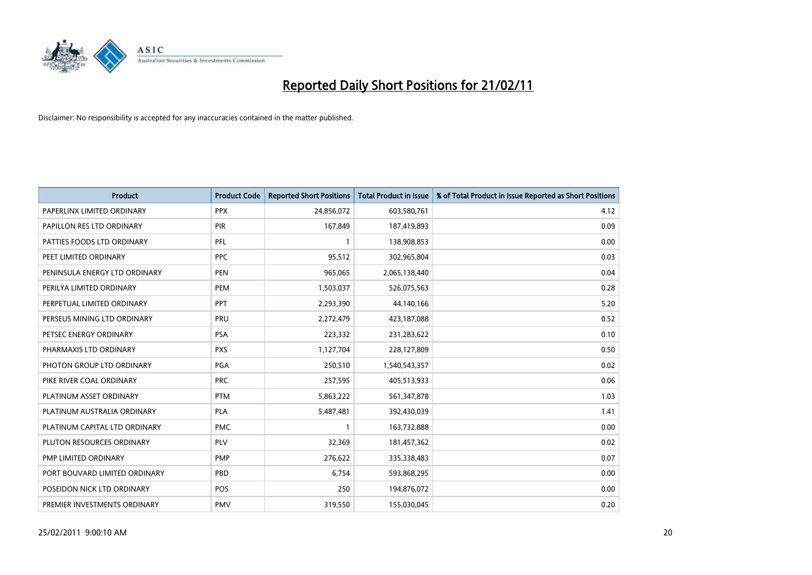

| <b>Product</b>                | <b>Product Code</b> | <b>Reported Short Positions</b> | <b>Total Product in Issue</b> | % of Total Product in Issue Reported as Short Positions |
|-------------------------------|---------------------|---------------------------------|-------------------------------|---------------------------------------------------------|
| PAPERLINX LIMITED ORDINARY    | <b>PPX</b>          | 24,856,072                      | 603,580,761                   | 4.12                                                    |
| PAPILLON RES LTD ORDINARY     | PIR                 | 167,849                         | 187,419,893                   | 0.09                                                    |
| PATTIES FOODS LTD ORDINARY    | PFL                 |                                 | 138,908,853                   | 0.00                                                    |
| PEET LIMITED ORDINARY         | <b>PPC</b>          | 95,512                          | 302,965,804                   | 0.03                                                    |
| PENINSULA ENERGY LTD ORDINARY | PEN                 | 965,065                         | 2,065,138,440                 | 0.04                                                    |
| PERILYA LIMITED ORDINARY      | PEM                 | 1,503,037                       | 526,075,563                   | 0.28                                                    |
| PERPETUAL LIMITED ORDINARY    | PPT                 | 2,293,390                       | 44,140,166                    | 5.20                                                    |
| PERSEUS MINING LTD ORDINARY   | PRU                 | 2,272,479                       | 423,187,088                   | 0.52                                                    |
| PETSEC ENERGY ORDINARY        | <b>PSA</b>          | 223,332                         | 231,283,622                   | 0.10                                                    |
| PHARMAXIS LTD ORDINARY        | <b>PXS</b>          | 1,127,704                       | 228,127,809                   | 0.50                                                    |
| PHOTON GROUP LTD ORDINARY     | PGA                 | 250,510                         | 1,540,543,357                 | 0.02                                                    |
| PIKE RIVER COAL ORDINARY      | <b>PRC</b>          | 257,595                         | 405,513,933                   | 0.06                                                    |
| PLATINUM ASSET ORDINARY       | <b>PTM</b>          | 5,863,222                       | 561,347,878                   | 1.03                                                    |
| PLATINUM AUSTRALIA ORDINARY   | PLA                 | 5,487,481                       | 392,430,039                   | 1.41                                                    |
| PLATINUM CAPITAL LTD ORDINARY | <b>PMC</b>          |                                 | 163,732,888                   | 0.00                                                    |
| PLUTON RESOURCES ORDINARY     | <b>PLV</b>          | 32,369                          | 181,457,362                   | 0.02                                                    |
| PMP LIMITED ORDINARY          | <b>PMP</b>          | 276,622                         | 335,338,483                   | 0.07                                                    |
| PORT BOUVARD LIMITED ORDINARY | PBD                 | 6,754                           | 593,868,295                   | 0.00                                                    |
| POSEIDON NICK LTD ORDINARY    | <b>POS</b>          | 250                             | 194,876,072                   | 0.00                                                    |
| PREMIER INVESTMENTS ORDINARY  | PMV                 | 319,550                         | 155,030,045                   | 0.20                                                    |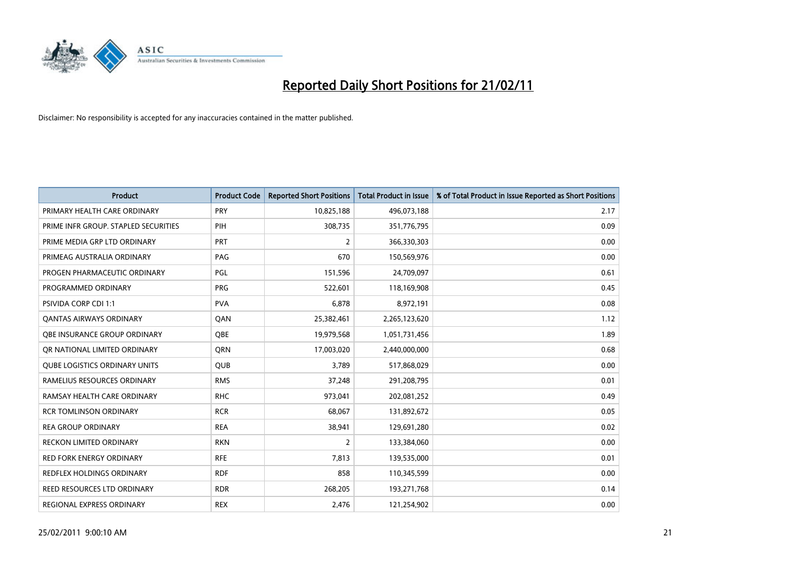

| <b>Product</b>                       | <b>Product Code</b> | <b>Reported Short Positions</b> | Total Product in Issue | % of Total Product in Issue Reported as Short Positions |
|--------------------------------------|---------------------|---------------------------------|------------------------|---------------------------------------------------------|
| PRIMARY HEALTH CARE ORDINARY         | <b>PRY</b>          | 10,825,188                      | 496,073,188            | 2.17                                                    |
| PRIME INFR GROUP. STAPLED SECURITIES | PIH                 | 308,735                         | 351,776,795            | 0.09                                                    |
| PRIME MEDIA GRP LTD ORDINARY         | PRT                 | 2                               | 366,330,303            | 0.00                                                    |
| PRIMEAG AUSTRALIA ORDINARY           | PAG                 | 670                             | 150,569,976            | 0.00                                                    |
| PROGEN PHARMACEUTIC ORDINARY         | PGL                 | 151,596                         | 24,709,097             | 0.61                                                    |
| PROGRAMMED ORDINARY                  | <b>PRG</b>          | 522,601                         | 118,169,908            | 0.45                                                    |
| PSIVIDA CORP CDI 1:1                 | <b>PVA</b>          | 6,878                           | 8,972,191              | 0.08                                                    |
| <b>QANTAS AIRWAYS ORDINARY</b>       | QAN                 | 25,382,461                      | 2,265,123,620          | 1.12                                                    |
| OBE INSURANCE GROUP ORDINARY         | <b>OBE</b>          | 19,979,568                      | 1,051,731,456          | 1.89                                                    |
| OR NATIONAL LIMITED ORDINARY         | <b>ORN</b>          | 17,003,020                      | 2,440,000,000          | 0.68                                                    |
| <b>QUBE LOGISTICS ORDINARY UNITS</b> | <b>QUB</b>          | 3,789                           | 517,868,029            | 0.00                                                    |
| RAMELIUS RESOURCES ORDINARY          | <b>RMS</b>          | 37,248                          | 291,208,795            | 0.01                                                    |
| RAMSAY HEALTH CARE ORDINARY          | <b>RHC</b>          | 973,041                         | 202,081,252            | 0.49                                                    |
| <b>RCR TOMLINSON ORDINARY</b>        | <b>RCR</b>          | 68,067                          | 131,892,672            | 0.05                                                    |
| <b>REA GROUP ORDINARY</b>            | <b>REA</b>          | 38,941                          | 129,691,280            | 0.02                                                    |
| RECKON LIMITED ORDINARY              | <b>RKN</b>          | 2                               | 133,384,060            | 0.00                                                    |
| RED FORK ENERGY ORDINARY             | <b>RFE</b>          | 7,813                           | 139,535,000            | 0.01                                                    |
| REDFLEX HOLDINGS ORDINARY            | <b>RDF</b>          | 858                             | 110,345,599            | 0.00                                                    |
| REED RESOURCES LTD ORDINARY          | <b>RDR</b>          | 268,205                         | 193,271,768            | 0.14                                                    |
| REGIONAL EXPRESS ORDINARY            | <b>REX</b>          | 2,476                           | 121,254,902            | 0.00                                                    |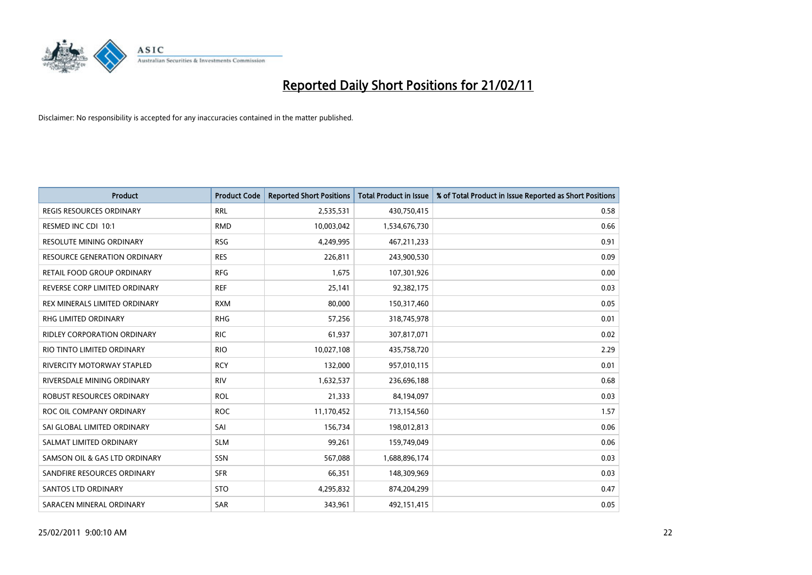

| Product                              | <b>Product Code</b> | <b>Reported Short Positions</b> | <b>Total Product in Issue</b> | % of Total Product in Issue Reported as Short Positions |
|--------------------------------------|---------------------|---------------------------------|-------------------------------|---------------------------------------------------------|
| <b>REGIS RESOURCES ORDINARY</b>      | <b>RRL</b>          | 2,535,531                       | 430,750,415                   | 0.58                                                    |
| RESMED INC CDI 10:1                  | <b>RMD</b>          | 10,003,042                      | 1,534,676,730                 | 0.66                                                    |
| <b>RESOLUTE MINING ORDINARY</b>      | <b>RSG</b>          | 4,249,995                       | 467,211,233                   | 0.91                                                    |
| RESOURCE GENERATION ORDINARY         | <b>RES</b>          | 226,811                         | 243,900,530                   | 0.09                                                    |
| RETAIL FOOD GROUP ORDINARY           | <b>RFG</b>          | 1,675                           | 107,301,926                   | 0.00                                                    |
| REVERSE CORP LIMITED ORDINARY        | <b>REF</b>          | 25,141                          | 92,382,175                    | 0.03                                                    |
| <b>REX MINERALS LIMITED ORDINARY</b> | <b>RXM</b>          | 80,000                          | 150,317,460                   | 0.05                                                    |
| <b>RHG LIMITED ORDINARY</b>          | <b>RHG</b>          | 57,256                          | 318,745,978                   | 0.01                                                    |
| RIDLEY CORPORATION ORDINARY          | <b>RIC</b>          | 61,937                          | 307,817,071                   | 0.02                                                    |
| RIO TINTO LIMITED ORDINARY           | <b>RIO</b>          | 10,027,108                      | 435,758,720                   | 2.29                                                    |
| RIVERCITY MOTORWAY STAPLED           | <b>RCY</b>          | 132,000                         | 957,010,115                   | 0.01                                                    |
| RIVERSDALE MINING ORDINARY           | <b>RIV</b>          | 1,632,537                       | 236,696,188                   | 0.68                                                    |
| <b>ROBUST RESOURCES ORDINARY</b>     | <b>ROL</b>          | 21,333                          | 84,194,097                    | 0.03                                                    |
| ROC OIL COMPANY ORDINARY             | <b>ROC</b>          | 11,170,452                      | 713,154,560                   | 1.57                                                    |
| SAI GLOBAL LIMITED ORDINARY          | SAI                 | 156,734                         | 198,012,813                   | 0.06                                                    |
| SALMAT LIMITED ORDINARY              | <b>SLM</b>          | 99,261                          | 159,749,049                   | 0.06                                                    |
| SAMSON OIL & GAS LTD ORDINARY        | <b>SSN</b>          | 567,088                         | 1,688,896,174                 | 0.03                                                    |
| SANDFIRE RESOURCES ORDINARY          | <b>SFR</b>          | 66,351                          | 148,309,969                   | 0.03                                                    |
| SANTOS LTD ORDINARY                  | <b>STO</b>          | 4,295,832                       | 874,204,299                   | 0.47                                                    |
| SARACEN MINERAL ORDINARY             | SAR                 | 343,961                         | 492,151,415                   | 0.05                                                    |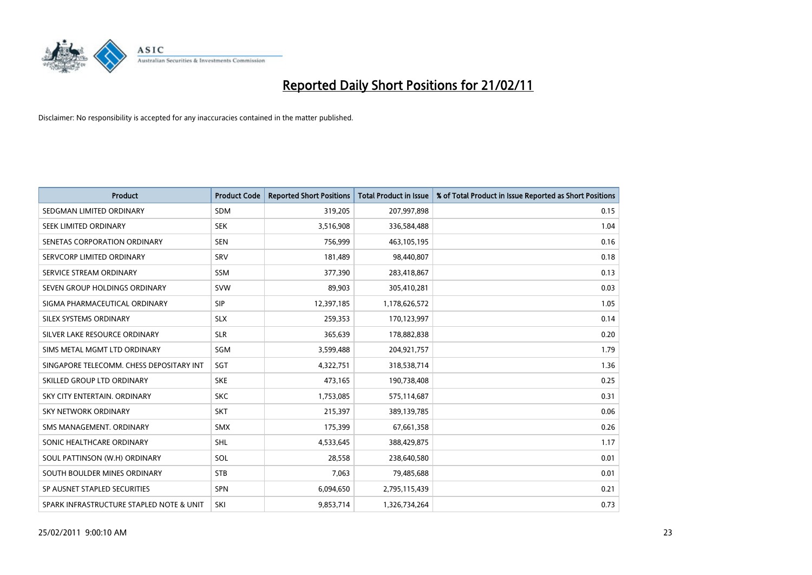

| Product                                  | <b>Product Code</b> | <b>Reported Short Positions</b> | <b>Total Product in Issue</b> | % of Total Product in Issue Reported as Short Positions |
|------------------------------------------|---------------------|---------------------------------|-------------------------------|---------------------------------------------------------|
| SEDGMAN LIMITED ORDINARY                 | <b>SDM</b>          | 319,205                         | 207,997,898                   | 0.15                                                    |
| SEEK LIMITED ORDINARY                    | <b>SEK</b>          | 3,516,908                       | 336,584,488                   | 1.04                                                    |
| SENETAS CORPORATION ORDINARY             | <b>SEN</b>          | 756,999                         | 463,105,195                   | 0.16                                                    |
| SERVCORP LIMITED ORDINARY                | SRV                 | 181,489                         | 98,440,807                    | 0.18                                                    |
| SERVICE STREAM ORDINARY                  | <b>SSM</b>          | 377,390                         | 283,418,867                   | 0.13                                                    |
| SEVEN GROUP HOLDINGS ORDINARY            | <b>SVW</b>          | 89,903                          | 305,410,281                   | 0.03                                                    |
| SIGMA PHARMACEUTICAL ORDINARY            | <b>SIP</b>          | 12,397,185                      | 1,178,626,572                 | 1.05                                                    |
| <b>SILEX SYSTEMS ORDINARY</b>            | <b>SLX</b>          | 259,353                         | 170,123,997                   | 0.14                                                    |
| SILVER LAKE RESOURCE ORDINARY            | <b>SLR</b>          | 365,639                         | 178,882,838                   | 0.20                                                    |
| SIMS METAL MGMT LTD ORDINARY             | SGM                 | 3,599,488                       | 204,921,757                   | 1.79                                                    |
| SINGAPORE TELECOMM. CHESS DEPOSITARY INT | SGT                 | 4,322,751                       | 318,538,714                   | 1.36                                                    |
| SKILLED GROUP LTD ORDINARY               | <b>SKE</b>          | 473,165                         | 190,738,408                   | 0.25                                                    |
| SKY CITY ENTERTAIN, ORDINARY             | <b>SKC</b>          | 1,753,085                       | 575,114,687                   | 0.31                                                    |
| <b>SKY NETWORK ORDINARY</b>              | <b>SKT</b>          | 215,397                         | 389,139,785                   | 0.06                                                    |
| SMS MANAGEMENT, ORDINARY                 | <b>SMX</b>          | 175,399                         | 67,661,358                    | 0.26                                                    |
| SONIC HEALTHCARE ORDINARY                | <b>SHL</b>          | 4,533,645                       | 388,429,875                   | 1.17                                                    |
| SOUL PATTINSON (W.H) ORDINARY            | SOL                 | 28,558                          | 238,640,580                   | 0.01                                                    |
| SOUTH BOULDER MINES ORDINARY             | <b>STB</b>          | 7,063                           | 79,485,688                    | 0.01                                                    |
| SP AUSNET STAPLED SECURITIES             | <b>SPN</b>          | 6,094,650                       | 2,795,115,439                 | 0.21                                                    |
| SPARK INFRASTRUCTURE STAPLED NOTE & UNIT | SKI                 | 9,853,714                       | 1,326,734,264                 | 0.73                                                    |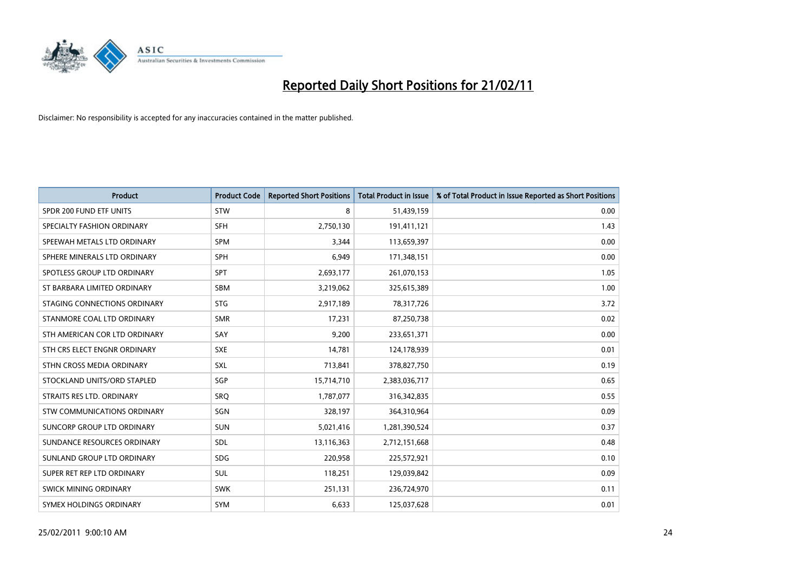

| <b>Product</b>                     | <b>Product Code</b> | <b>Reported Short Positions</b> | <b>Total Product in Issue</b> | % of Total Product in Issue Reported as Short Positions |
|------------------------------------|---------------------|---------------------------------|-------------------------------|---------------------------------------------------------|
| SPDR 200 FUND ETF UNITS            | <b>STW</b>          | 8                               | 51,439,159                    | 0.00                                                    |
| SPECIALTY FASHION ORDINARY         | <b>SFH</b>          | 2,750,130                       | 191,411,121                   | 1.43                                                    |
| SPEEWAH METALS LTD ORDINARY        | <b>SPM</b>          | 3,344                           | 113,659,397                   | 0.00                                                    |
| SPHERE MINERALS LTD ORDINARY       | <b>SPH</b>          | 6,949                           | 171,348,151                   | 0.00                                                    |
| SPOTLESS GROUP LTD ORDINARY        | <b>SPT</b>          | 2,693,177                       | 261,070,153                   | 1.05                                                    |
| ST BARBARA LIMITED ORDINARY        | <b>SBM</b>          | 3,219,062                       | 325,615,389                   | 1.00                                                    |
| STAGING CONNECTIONS ORDINARY       | <b>STG</b>          | 2,917,189                       | 78,317,726                    | 3.72                                                    |
| STANMORE COAL LTD ORDINARY         | <b>SMR</b>          | 17,231                          | 87,250,738                    | 0.02                                                    |
| STH AMERICAN COR LTD ORDINARY      | SAY                 | 9,200                           | 233,651,371                   | 0.00                                                    |
| STH CRS ELECT ENGNR ORDINARY       | <b>SXE</b>          | 14,781                          | 124,178,939                   | 0.01                                                    |
| STHN CROSS MEDIA ORDINARY          | SXL                 | 713,841                         | 378,827,750                   | 0.19                                                    |
| STOCKLAND UNITS/ORD STAPLED        | SGP                 | 15,714,710                      | 2,383,036,717                 | 0.65                                                    |
| STRAITS RES LTD. ORDINARY          | <b>SRQ</b>          | 1,787,077                       | 316, 342, 835                 | 0.55                                                    |
| <b>STW COMMUNICATIONS ORDINARY</b> | SGN                 | 328,197                         | 364,310,964                   | 0.09                                                    |
| SUNCORP GROUP LTD ORDINARY         | <b>SUN</b>          | 5,021,416                       | 1,281,390,524                 | 0.37                                                    |
| SUNDANCE RESOURCES ORDINARY        | SDL                 | 13,116,363                      | 2,712,151,668                 | 0.48                                                    |
| SUNLAND GROUP LTD ORDINARY         | <b>SDG</b>          | 220,958                         | 225,572,921                   | 0.10                                                    |
| SUPER RET REP LTD ORDINARY         | SUL                 | 118,251                         | 129,039,842                   | 0.09                                                    |
| SWICK MINING ORDINARY              | <b>SWK</b>          | 251,131                         | 236,724,970                   | 0.11                                                    |
| SYMEX HOLDINGS ORDINARY            | SYM                 | 6,633                           | 125,037,628                   | 0.01                                                    |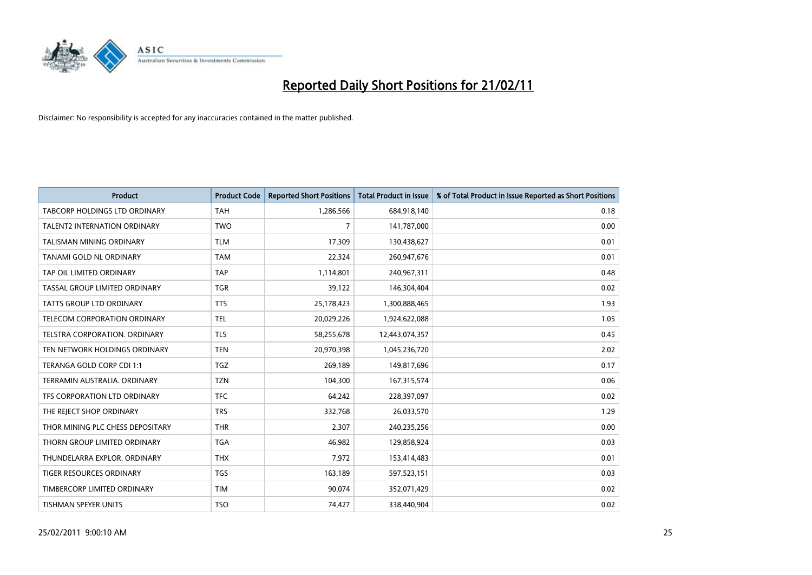

| <b>Product</b>                       | <b>Product Code</b> | <b>Reported Short Positions</b> | <b>Total Product in Issue</b> | % of Total Product in Issue Reported as Short Positions |
|--------------------------------------|---------------------|---------------------------------|-------------------------------|---------------------------------------------------------|
| <b>TABCORP HOLDINGS LTD ORDINARY</b> | <b>TAH</b>          | 1,286,566                       | 684,918,140                   | 0.18                                                    |
| TALENT2 INTERNATION ORDINARY         | <b>TWO</b>          | 7                               | 141,787,000                   | 0.00                                                    |
| <b>TALISMAN MINING ORDINARY</b>      | <b>TLM</b>          | 17,309                          | 130,438,627                   | 0.01                                                    |
| TANAMI GOLD NL ORDINARY              | <b>TAM</b>          | 22,324                          | 260,947,676                   | 0.01                                                    |
| TAP OIL LIMITED ORDINARY             | <b>TAP</b>          | 1,114,801                       | 240,967,311                   | 0.48                                                    |
| TASSAL GROUP LIMITED ORDINARY        | <b>TGR</b>          | 39,122                          | 146,304,404                   | 0.02                                                    |
| <b>TATTS GROUP LTD ORDINARY</b>      | <b>TTS</b>          | 25,178,423                      | 1,300,888,465                 | 1.93                                                    |
| TELECOM CORPORATION ORDINARY         | <b>TEL</b>          | 20,029,226                      | 1,924,622,088                 | 1.05                                                    |
| TELSTRA CORPORATION, ORDINARY        | <b>TLS</b>          | 58,255,678                      | 12,443,074,357                | 0.45                                                    |
| TEN NETWORK HOLDINGS ORDINARY        | <b>TEN</b>          | 20,970,398                      | 1,045,236,720                 | 2.02                                                    |
| TERANGA GOLD CORP CDI 1:1            | TGZ                 | 269,189                         | 149,817,696                   | 0.17                                                    |
| TERRAMIN AUSTRALIA, ORDINARY         | <b>TZN</b>          | 104,300                         | 167,315,574                   | 0.06                                                    |
| TFS CORPORATION LTD ORDINARY         | <b>TFC</b>          | 64,242                          | 228,397,097                   | 0.02                                                    |
| THE REJECT SHOP ORDINARY             | <b>TRS</b>          | 332,768                         | 26,033,570                    | 1.29                                                    |
| THOR MINING PLC CHESS DEPOSITARY     | <b>THR</b>          | 2,307                           | 240,235,256                   | 0.00                                                    |
| THORN GROUP LIMITED ORDINARY         | <b>TGA</b>          | 46,982                          | 129,858,924                   | 0.03                                                    |
| THUNDELARRA EXPLOR. ORDINARY         | <b>THX</b>          | 7,972                           | 153,414,483                   | 0.01                                                    |
| TIGER RESOURCES ORDINARY             | <b>TGS</b>          | 163,189                         | 597,523,151                   | 0.03                                                    |
| TIMBERCORP LIMITED ORDINARY          | <b>TIM</b>          | 90,074                          | 352,071,429                   | 0.02                                                    |
| TISHMAN SPEYER UNITS                 | <b>TSO</b>          | 74,427                          | 338,440,904                   | 0.02                                                    |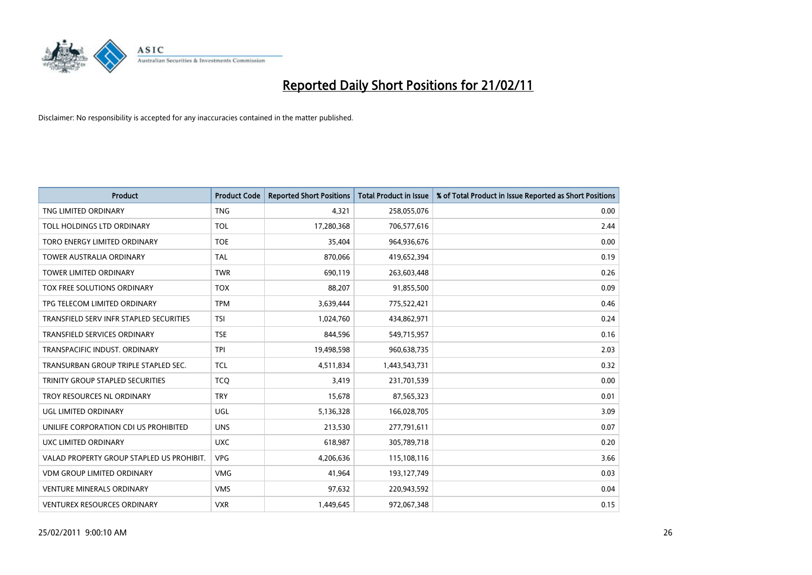

| <b>Product</b>                            | <b>Product Code</b> | <b>Reported Short Positions</b> | <b>Total Product in Issue</b> | % of Total Product in Issue Reported as Short Positions |
|-------------------------------------------|---------------------|---------------------------------|-------------------------------|---------------------------------------------------------|
| TNG LIMITED ORDINARY                      | <b>TNG</b>          | 4,321                           | 258,055,076                   | 0.00                                                    |
| TOLL HOLDINGS LTD ORDINARY                | <b>TOL</b>          | 17,280,368                      | 706,577,616                   | 2.44                                                    |
| TORO ENERGY LIMITED ORDINARY              | <b>TOE</b>          | 35,404                          | 964,936,676                   | 0.00                                                    |
| TOWER AUSTRALIA ORDINARY                  | <b>TAL</b>          | 870,066                         | 419,652,394                   | 0.19                                                    |
| <b>TOWER LIMITED ORDINARY</b>             | <b>TWR</b>          | 690,119                         | 263,603,448                   | 0.26                                                    |
| TOX FREE SOLUTIONS ORDINARY               | <b>TOX</b>          | 88,207                          | 91,855,500                    | 0.09                                                    |
| TPG TELECOM LIMITED ORDINARY              | <b>TPM</b>          | 3,639,444                       | 775,522,421                   | 0.46                                                    |
| TRANSFIELD SERV INFR STAPLED SECURITIES   | <b>TSI</b>          | 1,024,760                       | 434,862,971                   | 0.24                                                    |
| TRANSFIELD SERVICES ORDINARY              | <b>TSE</b>          | 844,596                         | 549,715,957                   | 0.16                                                    |
| TRANSPACIFIC INDUST, ORDINARY             | <b>TPI</b>          | 19,498,598                      | 960,638,735                   | 2.03                                                    |
| TRANSURBAN GROUP TRIPLE STAPLED SEC.      | <b>TCL</b>          | 4,511,834                       | 1,443,543,731                 | 0.32                                                    |
| TRINITY GROUP STAPLED SECURITIES          | <b>TCO</b>          | 3,419                           | 231,701,539                   | 0.00                                                    |
| TROY RESOURCES NL ORDINARY                | <b>TRY</b>          | 15,678                          | 87,565,323                    | 0.01                                                    |
| <b>UGL LIMITED ORDINARY</b>               | <b>UGL</b>          | 5,136,328                       | 166,028,705                   | 3.09                                                    |
| UNILIFE CORPORATION CDI US PROHIBITED     | <b>UNS</b>          | 213,530                         | 277,791,611                   | 0.07                                                    |
| UXC LIMITED ORDINARY                      | <b>UXC</b>          | 618,987                         | 305,789,718                   | 0.20                                                    |
| VALAD PROPERTY GROUP STAPLED US PROHIBIT. | <b>VPG</b>          | 4,206,636                       | 115,108,116                   | 3.66                                                    |
| VDM GROUP LIMITED ORDINARY                | <b>VMG</b>          | 41,964                          | 193,127,749                   | 0.03                                                    |
| <b>VENTURE MINERALS ORDINARY</b>          | <b>VMS</b>          | 97,632                          | 220,943,592                   | 0.04                                                    |
| <b>VENTUREX RESOURCES ORDINARY</b>        | <b>VXR</b>          | 1,449,645                       | 972,067,348                   | 0.15                                                    |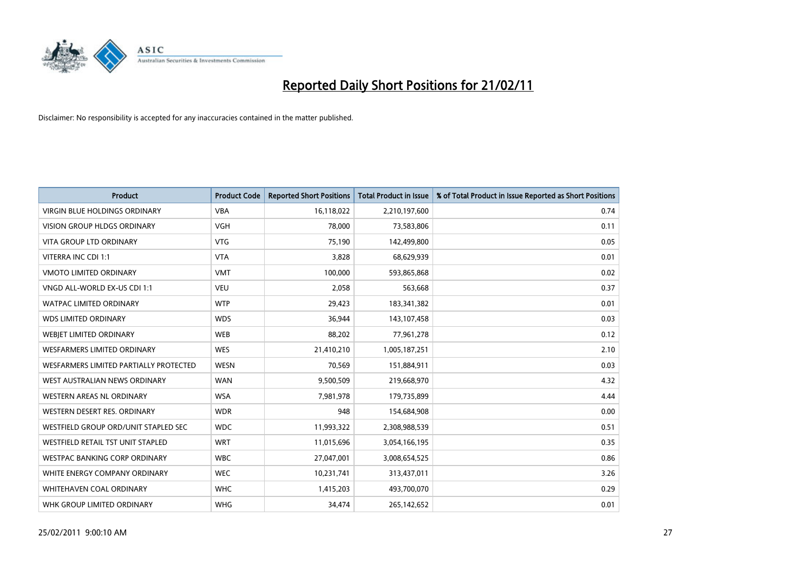

| <b>Product</b>                           | <b>Product Code</b> | <b>Reported Short Positions</b> | <b>Total Product in Issue</b> | % of Total Product in Issue Reported as Short Positions |
|------------------------------------------|---------------------|---------------------------------|-------------------------------|---------------------------------------------------------|
| <b>VIRGIN BLUE HOLDINGS ORDINARY</b>     | <b>VBA</b>          | 16,118,022                      | 2,210,197,600                 | 0.74                                                    |
| VISION GROUP HLDGS ORDINARY              | <b>VGH</b>          | 78,000                          | 73,583,806                    | 0.11                                                    |
| <b>VITA GROUP LTD ORDINARY</b>           | <b>VTG</b>          | 75,190                          | 142,499,800                   | 0.05                                                    |
| VITERRA INC CDI 1:1                      | <b>VTA</b>          | 3,828                           | 68,629,939                    | 0.01                                                    |
| <b>VMOTO LIMITED ORDINARY</b>            | <b>VMT</b>          | 100,000                         | 593,865,868                   | 0.02                                                    |
| VNGD ALL-WORLD EX-US CDI 1:1             | <b>VEU</b>          | 2,058                           | 563,668                       | 0.37                                                    |
| <b>WATPAC LIMITED ORDINARY</b>           | <b>WTP</b>          | 29,423                          | 183,341,382                   | 0.01                                                    |
| <b>WDS LIMITED ORDINARY</b>              | <b>WDS</b>          | 36,944                          | 143,107,458                   | 0.03                                                    |
| WEBIET LIMITED ORDINARY                  | <b>WEB</b>          | 88,202                          | 77,961,278                    | 0.12                                                    |
| <b>WESFARMERS LIMITED ORDINARY</b>       | <b>WES</b>          | 21,410,210                      | 1,005,187,251                 | 2.10                                                    |
| WESFARMERS LIMITED PARTIALLY PROTECTED   | <b>WESN</b>         | 70,569                          | 151,884,911                   | 0.03                                                    |
| WEST AUSTRALIAN NEWS ORDINARY            | <b>WAN</b>          | 9,500,509                       | 219,668,970                   | 4.32                                                    |
| <b>WESTERN AREAS NL ORDINARY</b>         | <b>WSA</b>          | 7,981,978                       | 179,735,899                   | 4.44                                                    |
| WESTERN DESERT RES. ORDINARY             | <b>WDR</b>          | 948                             | 154,684,908                   | 0.00                                                    |
| WESTFIELD GROUP ORD/UNIT STAPLED SEC     | <b>WDC</b>          | 11,993,322                      | 2,308,988,539                 | 0.51                                                    |
| <b>WESTFIELD RETAIL TST UNIT STAPLED</b> | <b>WRT</b>          | 11,015,696                      | 3,054,166,195                 | 0.35                                                    |
| <b>WESTPAC BANKING CORP ORDINARY</b>     | <b>WBC</b>          | 27,047,001                      | 3,008,654,525                 | 0.86                                                    |
| WHITE ENERGY COMPANY ORDINARY            | <b>WEC</b>          | 10,231,741                      | 313,437,011                   | 3.26                                                    |
| WHITEHAVEN COAL ORDINARY                 | <b>WHC</b>          | 1,415,203                       | 493,700,070                   | 0.29                                                    |
| WHK GROUP LIMITED ORDINARY               | <b>WHG</b>          | 34,474                          | 265,142,652                   | 0.01                                                    |